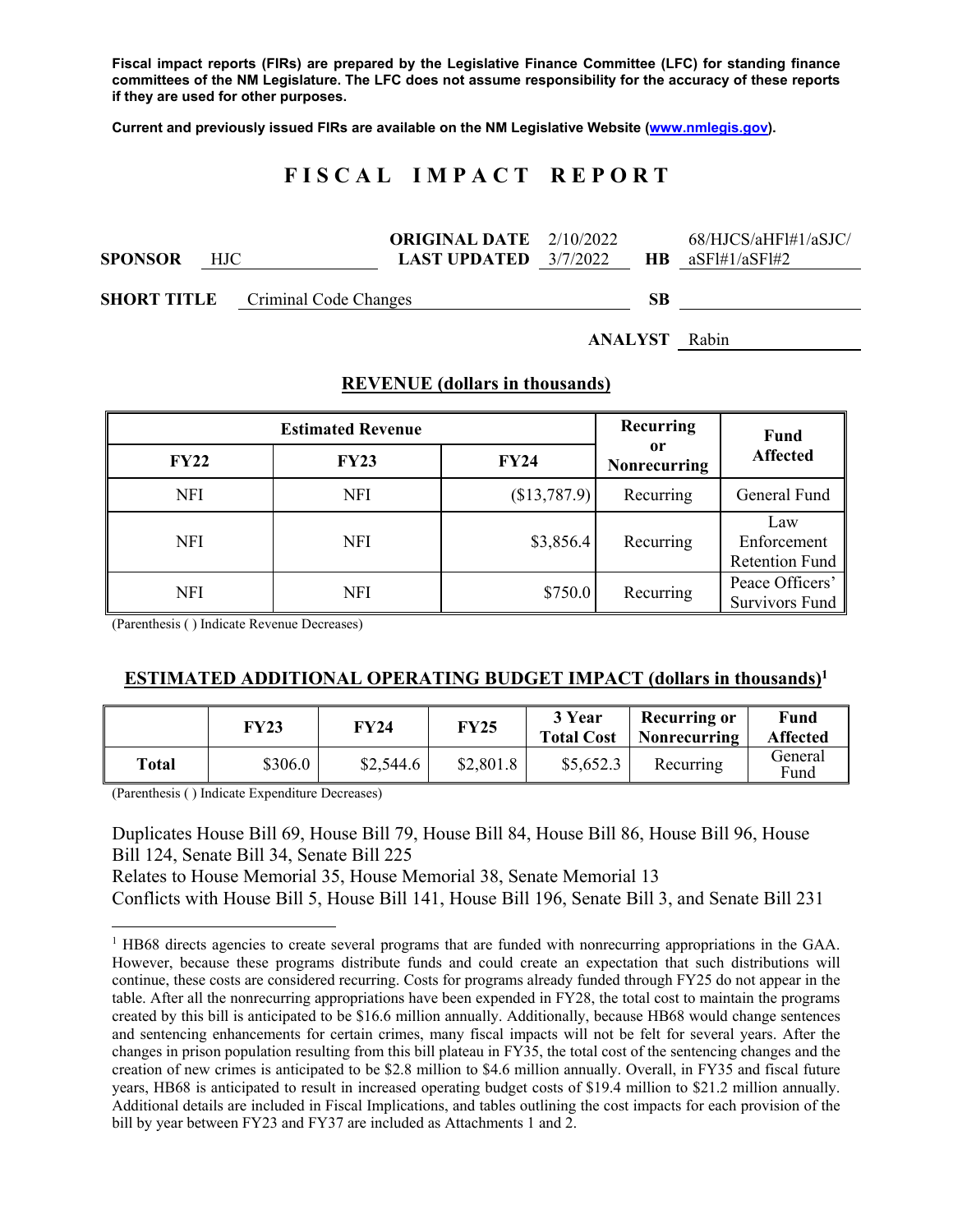**Fiscal impact reports (FIRs) are prepared by the Legislative Finance Committee (LFC) for standing finance committees of the NM Legislature. The LFC does not assume responsibility for the accuracy of these reports if they are used for other purposes.** 

**Current and previously issued FIRs are available on the NM Legislative Website (www.nmlegis.gov).** 

# **F I S C A L I M P A C T R E P O R T**

|                |      |                                          | <b>ORIGINAL DATE</b> $2/10/2022$ |    | 68/HJCS/aHFl#1/aSJC/ |
|----------------|------|------------------------------------------|----------------------------------|----|----------------------|
| <b>SPONSOR</b> | HJC. |                                          | <b>LAST UPDATED</b> $3/7/2022$   |    | $HR$ $aSF1/4SF1/42$  |
|                |      |                                          |                                  |    |                      |
|                |      | <b>SHORT TITLE</b> Criminal Code Changes |                                  | SВ |                      |

**ANALYST** Rabin

|             | <b>Estimated Revenue</b> | Recurring    | Fund                      |                                             |
|-------------|--------------------------|--------------|---------------------------|---------------------------------------------|
| <b>FY22</b> | <b>FY23</b>              | <b>FY24</b>  | 0r<br><b>Nonrecurring</b> | <b>Affected</b>                             |
| <b>NFI</b>  | <b>NFI</b>               | (\$13,787.9) | Recurring                 | General Fund                                |
| <b>NFI</b>  | <b>NFI</b>               | \$3,856.4    | Recurring                 | Law<br>Enforcement<br><b>Retention Fund</b> |
| <b>NFI</b>  | <b>NFI</b>               | \$750.0      | Recurring                 | Peace Officers'<br><b>Survivors Fund</b>    |

#### **REVENUE (dollars in thousands)**

(Parenthesis ( ) Indicate Revenue Decreases)

#### **ESTIMATED ADDITIONAL OPERATING BUDGET IMPACT (dollars in thousands)1**

|       | FY23    | FY24      | <b>FY25</b> | 3 Year<br><b>Total Cost</b> | <b>Recurring or</b><br>Nonrecurring | Fund<br><b>Affected</b> |
|-------|---------|-----------|-------------|-----------------------------|-------------------------------------|-------------------------|
| Total | \$306.0 | \$2,544.6 | \$2,801.8   | \$5,652.3                   | Recurring                           | General<br>Fund         |

(Parenthesis ( ) Indicate Expenditure Decreases)

 $\overline{a}$ 

Duplicates House Bill 69, House Bill 79, House Bill 84, House Bill 86, House Bill 96, House Bill 124, Senate Bill 34, Senate Bill 225 Relates to House Memorial 35, House Memorial 38, Senate Memorial 13

Conflicts with House Bill 5, House Bill 141, House Bill 196, Senate Bill 3, and Senate Bill 231

<sup>&</sup>lt;sup>1</sup> HB68 directs agencies to create several programs that are funded with nonrecurring appropriations in the GAA. However, because these programs distribute funds and could create an expectation that such distributions will continue, these costs are considered recurring. Costs for programs already funded through FY25 do not appear in the table. After all the nonrecurring appropriations have been expended in FY28, the total cost to maintain the programs created by this bill is anticipated to be \$16.6 million annually. Additionally, because HB68 would change sentences and sentencing enhancements for certain crimes, many fiscal impacts will not be felt for several years. After the changes in prison population resulting from this bill plateau in FY35, the total cost of the sentencing changes and the creation of new crimes is anticipated to be \$2.8 million to \$4.6 million annually. Overall, in FY35 and fiscal future years, HB68 is anticipated to result in increased operating budget costs of \$19.4 million to \$21.2 million annually. Additional details are included in Fiscal Implications, and tables outlining the cost impacts for each provision of the bill by year between FY23 and FY37 are included as Attachments 1 and 2.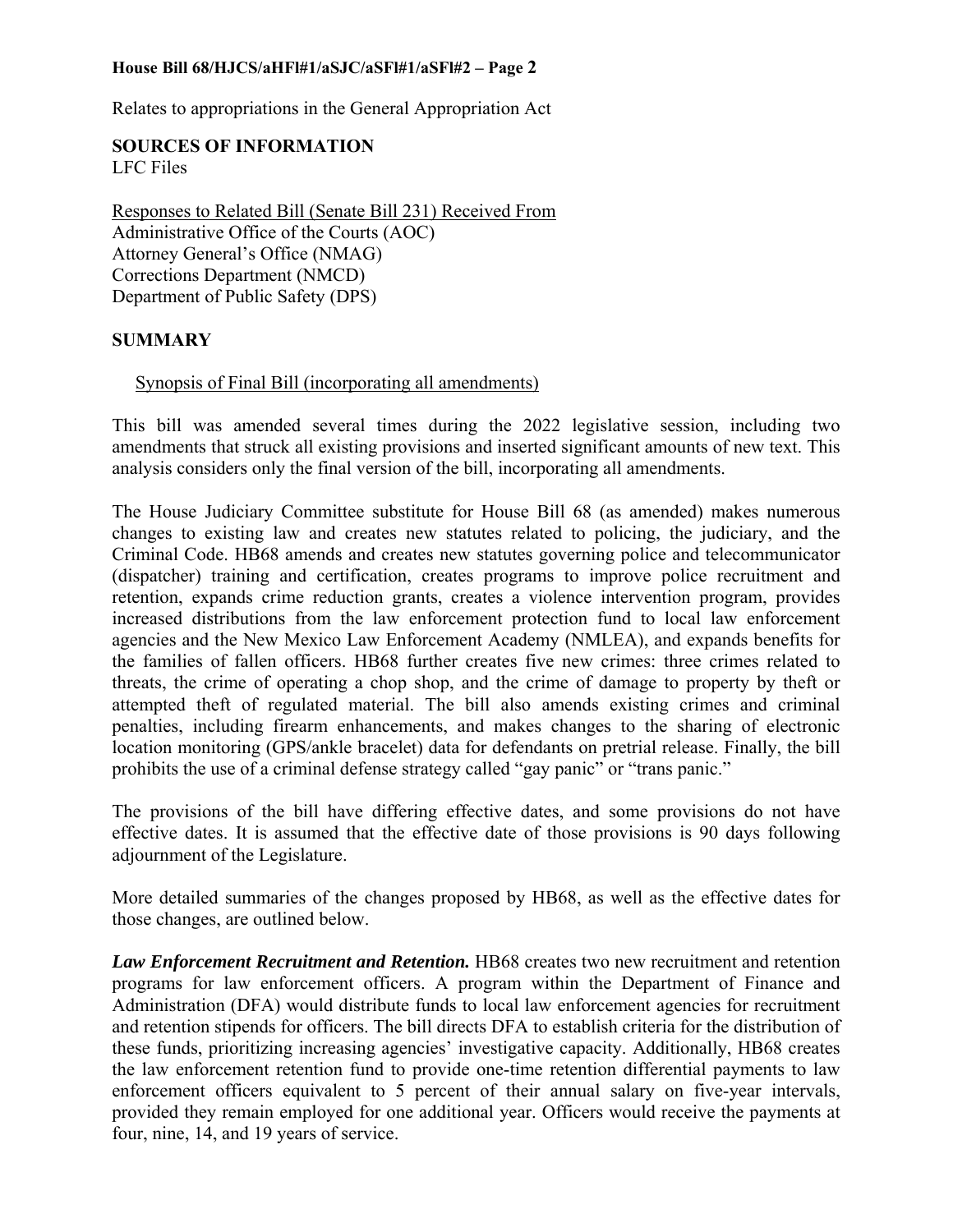Relates to appropriations in the General Appropriation Act

# **SOURCES OF INFORMATION**

LFC Files

Responses to Related Bill (Senate Bill 231) Received From Administrative Office of the Courts (AOC) Attorney General's Office (NMAG) Corrections Department (NMCD) Department of Public Safety (DPS)

#### **SUMMARY**

#### Synopsis of Final Bill (incorporating all amendments)

This bill was amended several times during the 2022 legislative session, including two amendments that struck all existing provisions and inserted significant amounts of new text. This analysis considers only the final version of the bill, incorporating all amendments.

The House Judiciary Committee substitute for House Bill 68 (as amended) makes numerous changes to existing law and creates new statutes related to policing, the judiciary, and the Criminal Code. HB68 amends and creates new statutes governing police and telecommunicator (dispatcher) training and certification, creates programs to improve police recruitment and retention, expands crime reduction grants, creates a violence intervention program, provides increased distributions from the law enforcement protection fund to local law enforcement agencies and the New Mexico Law Enforcement Academy (NMLEA), and expands benefits for the families of fallen officers. HB68 further creates five new crimes: three crimes related to threats, the crime of operating a chop shop, and the crime of damage to property by theft or attempted theft of regulated material. The bill also amends existing crimes and criminal penalties, including firearm enhancements, and makes changes to the sharing of electronic location monitoring (GPS/ankle bracelet) data for defendants on pretrial release. Finally, the bill prohibits the use of a criminal defense strategy called "gay panic" or "trans panic."

The provisions of the bill have differing effective dates, and some provisions do not have effective dates. It is assumed that the effective date of those provisions is 90 days following adjournment of the Legislature.

More detailed summaries of the changes proposed by HB68, as well as the effective dates for those changes, are outlined below.

Law *Enforcement Recruitment and Retention*. **HB68** creates two new recruitment and retention programs for law enforcement officers. A program within the Department of Finance and Administration (DFA) would distribute funds to local law enforcement agencies for recruitment and retention stipends for officers. The bill directs DFA to establish criteria for the distribution of these funds, prioritizing increasing agencies' investigative capacity. Additionally, HB68 creates the law enforcement retention fund to provide one-time retention differential payments to law enforcement officers equivalent to 5 percent of their annual salary on five-year intervals, provided they remain employed for one additional year. Officers would receive the payments at four, nine, 14, and 19 years of service.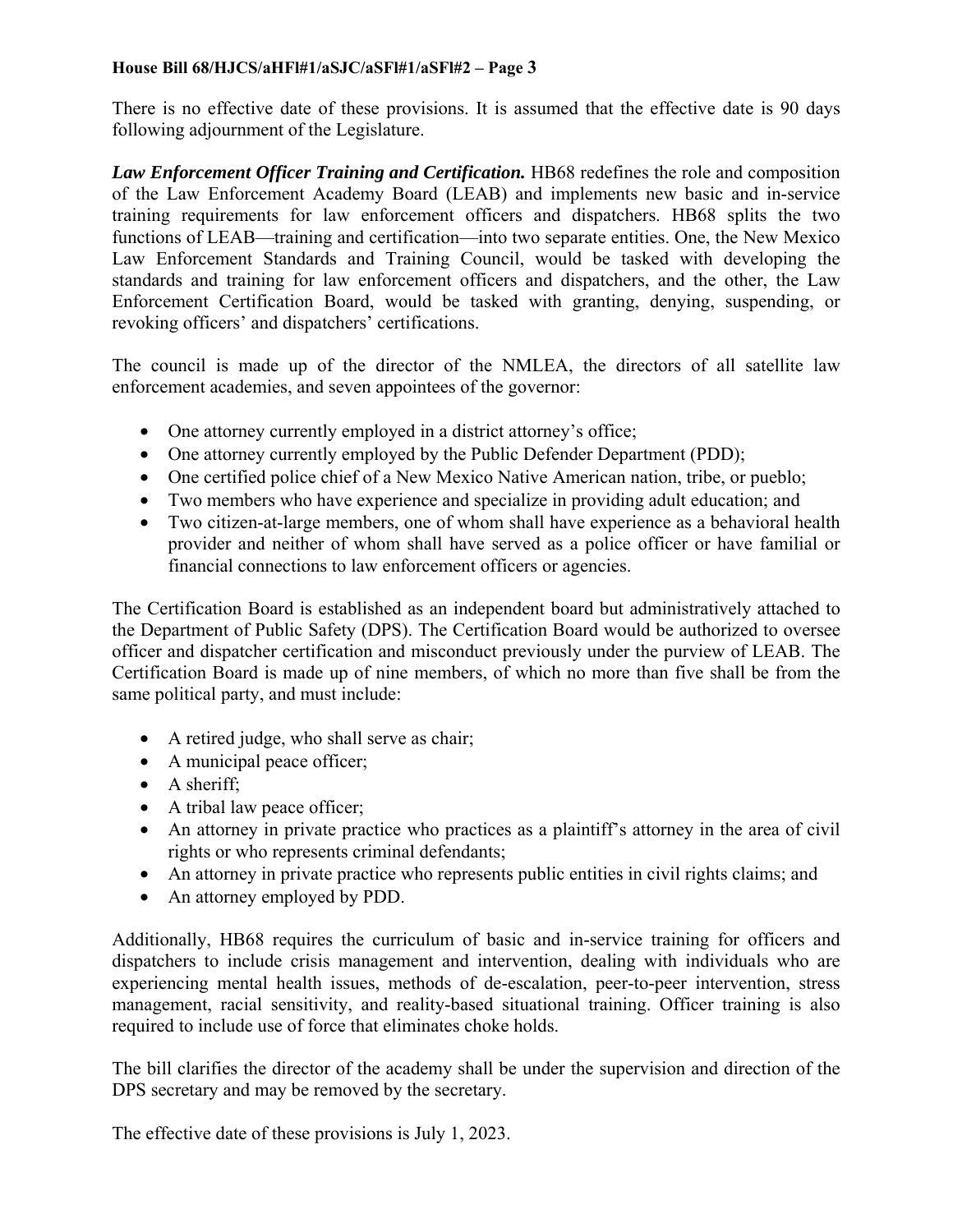There is no effective date of these provisions. It is assumed that the effective date is 90 days following adjournment of the Legislature.

Law Enforcement Officer Training and Certification. **HB68** redefines the role and composition of the Law Enforcement Academy Board (LEAB) and implements new basic and in-service training requirements for law enforcement officers and dispatchers. HB68 splits the two functions of LEAB—training and certification—into two separate entities. One, the New Mexico Law Enforcement Standards and Training Council, would be tasked with developing the standards and training for law enforcement officers and dispatchers, and the other, the Law Enforcement Certification Board, would be tasked with granting, denying, suspending, or revoking officers' and dispatchers' certifications.

The council is made up of the director of the NMLEA, the directors of all satellite law enforcement academies, and seven appointees of the governor:

- One attorney currently employed in a district attorney's office;
- One attorney currently employed by the Public Defender Department (PDD);
- One certified police chief of a New Mexico Native American nation, tribe, or pueblo;
- Two members who have experience and specialize in providing adult education; and
- Two citizen-at-large members, one of whom shall have experience as a behavioral health provider and neither of whom shall have served as a police officer or have familial or financial connections to law enforcement officers or agencies.

The Certification Board is established as an independent board but administratively attached to the Department of Public Safety (DPS). The Certification Board would be authorized to oversee officer and dispatcher certification and misconduct previously under the purview of LEAB. The Certification Board is made up of nine members, of which no more than five shall be from the same political party, and must include:

- A retired judge, who shall serve as chair;
- A municipal peace officer;
- A sheriff;
- A tribal law peace officer;
- An attorney in private practice who practices as a plaintiff's attorney in the area of civil rights or who represents criminal defendants;
- An attorney in private practice who represents public entities in civil rights claims; and
- An attorney employed by PDD.

Additionally, HB68 requires the curriculum of basic and in-service training for officers and dispatchers to include crisis management and intervention, dealing with individuals who are experiencing mental health issues, methods of de-escalation, peer-to-peer intervention, stress management, racial sensitivity, and reality-based situational training. Officer training is also required to include use of force that eliminates choke holds.

The bill clarifies the director of the academy shall be under the supervision and direction of the DPS secretary and may be removed by the secretary.

The effective date of these provisions is July 1, 2023.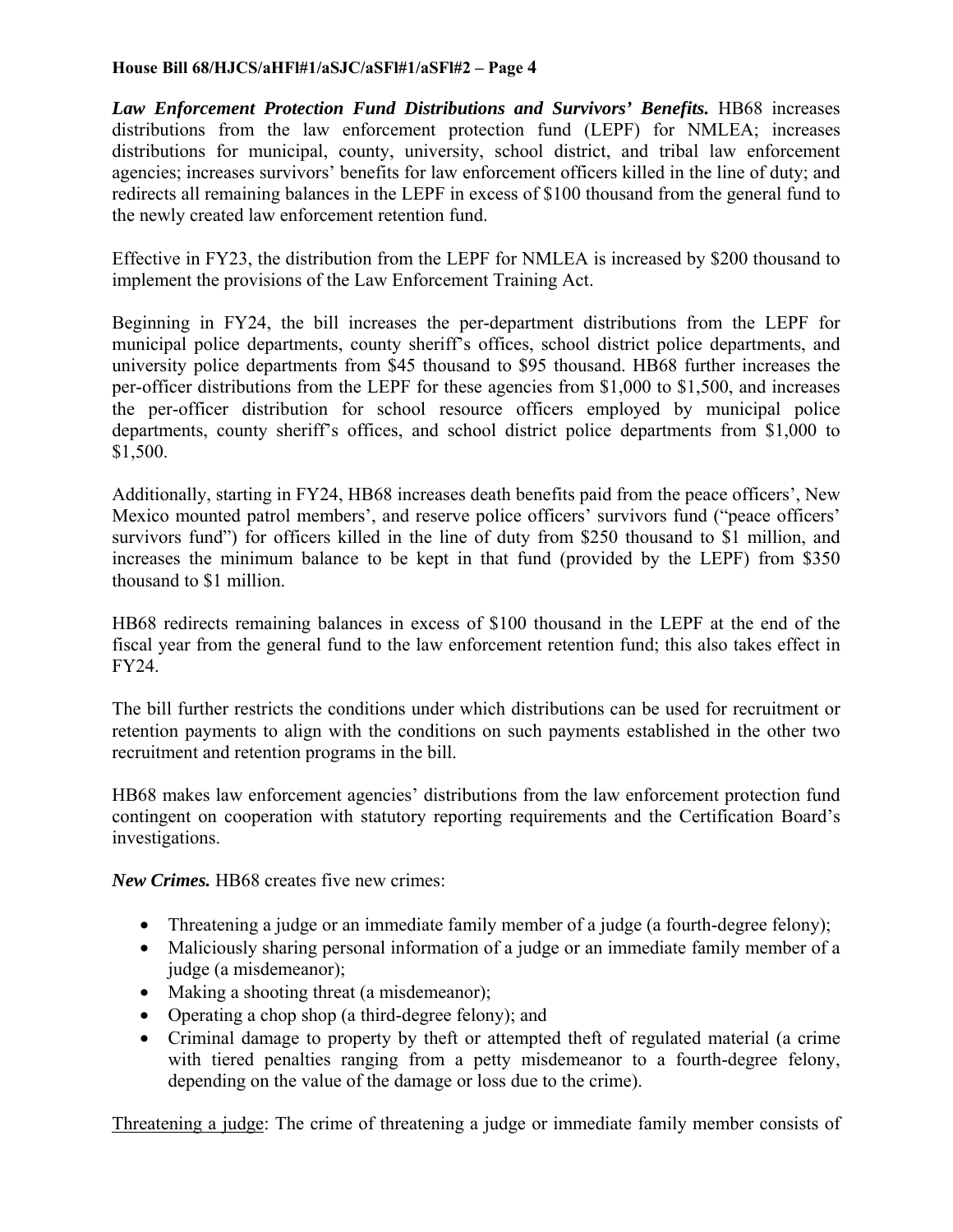Law Enforcement Protection Fund Distributions and Survivors' Benefits. **HB68** increases distributions from the law enforcement protection fund (LEPF) for NMLEA; increases distributions for municipal, county, university, school district, and tribal law enforcement agencies; increases survivors' benefits for law enforcement officers killed in the line of duty; and redirects all remaining balances in the LEPF in excess of \$100 thousand from the general fund to the newly created law enforcement retention fund.

Effective in FY23, the distribution from the LEPF for NMLEA is increased by \$200 thousand to implement the provisions of the Law Enforcement Training Act.

Beginning in FY24, the bill increases the per-department distributions from the LEPF for municipal police departments, county sheriff's offices, school district police departments, and university police departments from \$45 thousand to \$95 thousand. HB68 further increases the per-officer distributions from the LEPF for these agencies from \$1,000 to \$1,500, and increases the per-officer distribution for school resource officers employed by municipal police departments, county sheriff's offices, and school district police departments from \$1,000 to \$1,500.

Additionally, starting in FY24, HB68 increases death benefits paid from the peace officers', New Mexico mounted patrol members', and reserve police officers' survivors fund ("peace officers' survivors fund") for officers killed in the line of duty from \$250 thousand to \$1 million, and increases the minimum balance to be kept in that fund (provided by the LEPF) from \$350 thousand to \$1 million.

HB68 redirects remaining balances in excess of \$100 thousand in the LEPF at the end of the fiscal year from the general fund to the law enforcement retention fund; this also takes effect in FY24.

The bill further restricts the conditions under which distributions can be used for recruitment or retention payments to align with the conditions on such payments established in the other two recruitment and retention programs in the bill.

HB68 makes law enforcement agencies' distributions from the law enforcement protection fund contingent on cooperation with statutory reporting requirements and the Certification Board's investigations.

*New Crimes.* HB68 creates five new crimes:

- Threatening a judge or an immediate family member of a judge (a fourth-degree felony);
- Maliciously sharing personal information of a judge or an immediate family member of a judge (a misdemeanor);
- Making a shooting threat (a misdemeanor);
- Operating a chop shop (a third-degree felony); and
- Criminal damage to property by theft or attempted theft of regulated material (a crime with tiered penalties ranging from a petty misdemeanor to a fourth-degree felony, depending on the value of the damage or loss due to the crime).

Threatening a judge: The crime of threatening a judge or immediate family member consists of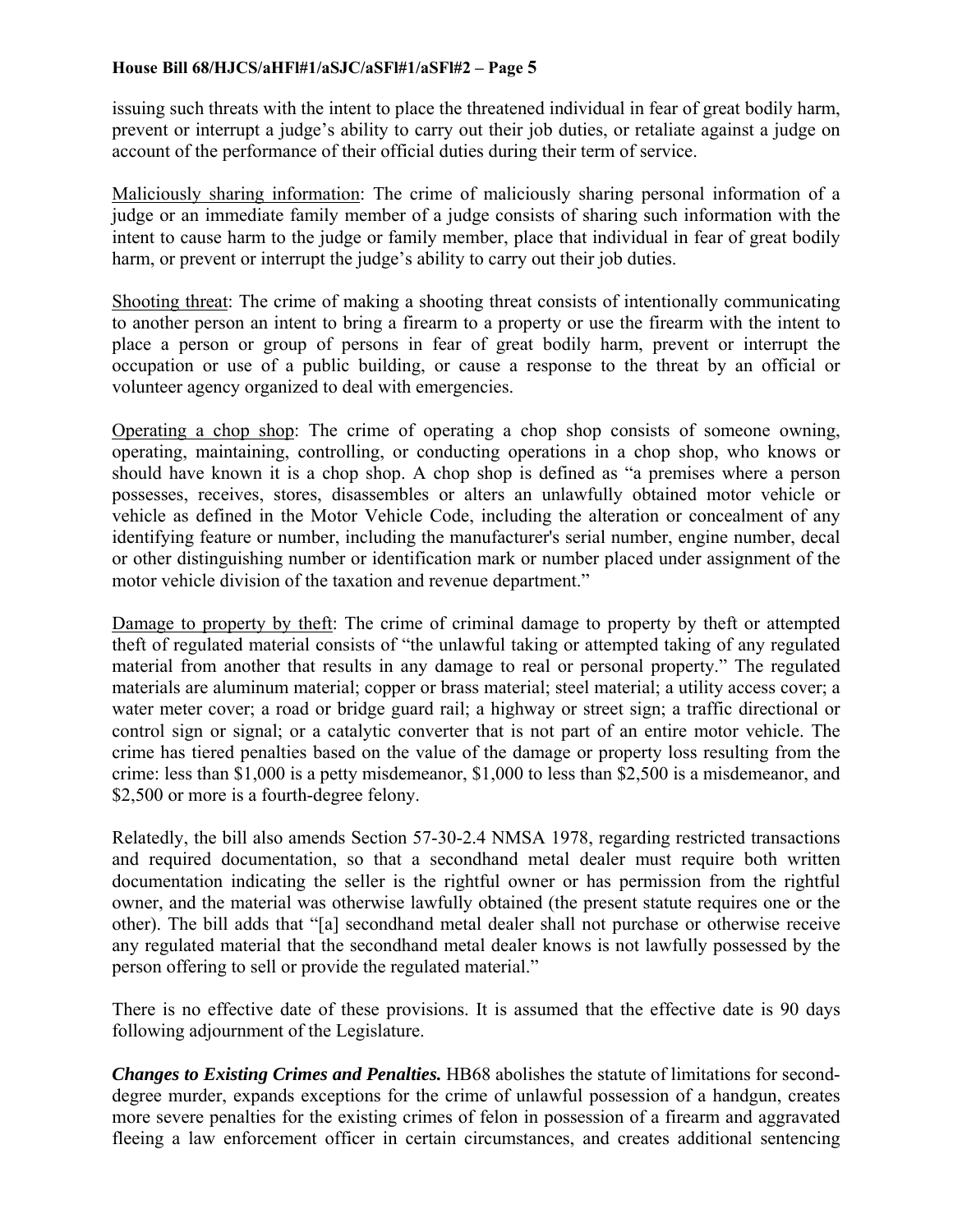issuing such threats with the intent to place the threatened individual in fear of great bodily harm, prevent or interrupt a judge's ability to carry out their job duties, or retaliate against a judge on account of the performance of their official duties during their term of service.

Maliciously sharing information: The crime of maliciously sharing personal information of a judge or an immediate family member of a judge consists of sharing such information with the intent to cause harm to the judge or family member, place that individual in fear of great bodily harm, or prevent or interrupt the judge's ability to carry out their job duties.

Shooting threat: The crime of making a shooting threat consists of intentionally communicating to another person an intent to bring a firearm to a property or use the firearm with the intent to place a person or group of persons in fear of great bodily harm, prevent or interrupt the occupation or use of a public building, or cause a response to the threat by an official or volunteer agency organized to deal with emergencies.

Operating a chop shop: The crime of operating a chop shop consists of someone owning, operating, maintaining, controlling, or conducting operations in a chop shop, who knows or should have known it is a chop shop. A chop shop is defined as "a premises where a person possesses, receives, stores, disassembles or alters an unlawfully obtained motor vehicle or vehicle as defined in the Motor Vehicle Code, including the alteration or concealment of any identifying feature or number, including the manufacturer's serial number, engine number, decal or other distinguishing number or identification mark or number placed under assignment of the motor vehicle division of the taxation and revenue department."

Damage to property by theft: The crime of criminal damage to property by theft or attempted theft of regulated material consists of "the unlawful taking or attempted taking of any regulated material from another that results in any damage to real or personal property." The regulated materials are aluminum material; copper or brass material; steel material; a utility access cover; a water meter cover; a road or bridge guard rail; a highway or street sign; a traffic directional or control sign or signal; or a catalytic converter that is not part of an entire motor vehicle. The crime has tiered penalties based on the value of the damage or property loss resulting from the crime: less than \$1,000 is a petty misdemeanor, \$1,000 to less than \$2,500 is a misdemeanor, and \$2,500 or more is a fourth-degree felony.

Relatedly, the bill also amends Section 57-30-2.4 NMSA 1978, regarding restricted transactions and required documentation, so that a secondhand metal dealer must require both written documentation indicating the seller is the rightful owner or has permission from the rightful owner, and the material was otherwise lawfully obtained (the present statute requires one or the other). The bill adds that "[a] secondhand metal dealer shall not purchase or otherwise receive any regulated material that the secondhand metal dealer knows is not lawfully possessed by the person offering to sell or provide the regulated material."

There is no effective date of these provisions. It is assumed that the effective date is 90 days following adjournment of the Legislature.

*Changes to Existing Crimes and Penalties.* HB68 abolishes the statute of limitations for seconddegree murder, expands exceptions for the crime of unlawful possession of a handgun, creates more severe penalties for the existing crimes of felon in possession of a firearm and aggravated fleeing a law enforcement officer in certain circumstances, and creates additional sentencing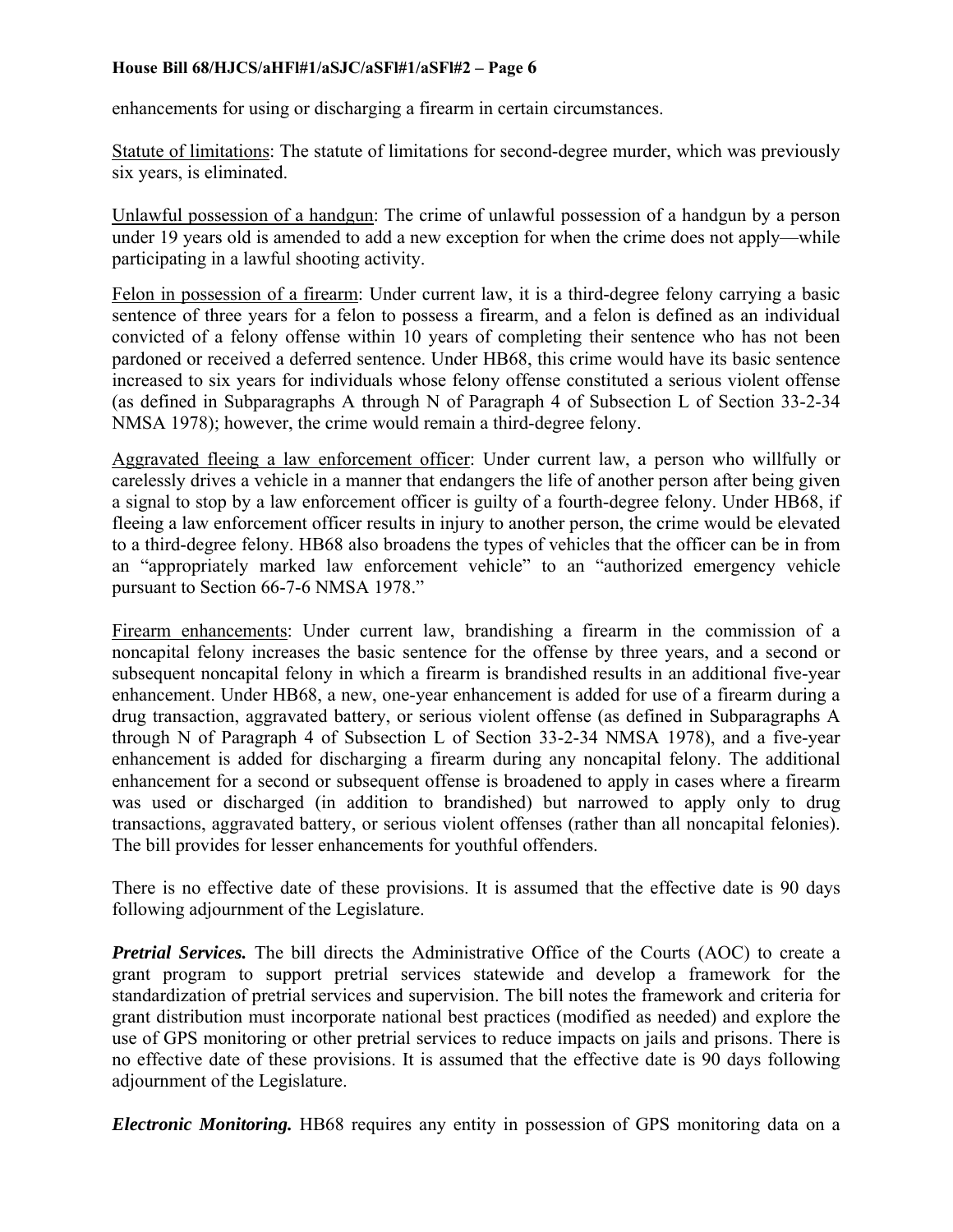enhancements for using or discharging a firearm in certain circumstances.

Statute of limitations: The statute of limitations for second-degree murder, which was previously six years, is eliminated.

Unlawful possession of a handgun: The crime of unlawful possession of a handgun by a person under 19 years old is amended to add a new exception for when the crime does not apply—while participating in a lawful shooting activity.

Felon in possession of a firearm: Under current law, it is a third-degree felony carrying a basic sentence of three years for a felon to possess a firearm, and a felon is defined as an individual convicted of a felony offense within 10 years of completing their sentence who has not been pardoned or received a deferred sentence. Under HB68, this crime would have its basic sentence increased to six years for individuals whose felony offense constituted a serious violent offense (as defined in Subparagraphs A through N of Paragraph 4 of Subsection L of Section 33-2-34 NMSA 1978); however, the crime would remain a third-degree felony.

Aggravated fleeing a law enforcement officer: Under current law, a person who willfully or carelessly drives a vehicle in a manner that endangers the life of another person after being given a signal to stop by a law enforcement officer is guilty of a fourth-degree felony. Under HB68, if fleeing a law enforcement officer results in injury to another person, the crime would be elevated to a third-degree felony. HB68 also broadens the types of vehicles that the officer can be in from an "appropriately marked law enforcement vehicle" to an "authorized emergency vehicle pursuant to Section 66-7-6 NMSA 1978."

Firearm enhancements: Under current law, brandishing a firearm in the commission of a noncapital felony increases the basic sentence for the offense by three years, and a second or subsequent noncapital felony in which a firearm is brandished results in an additional five-year enhancement. Under HB68, a new, one-year enhancement is added for use of a firearm during a drug transaction, aggravated battery, or serious violent offense (as defined in Subparagraphs A through N of Paragraph 4 of Subsection L of Section 33-2-34 NMSA 1978), and a five-year enhancement is added for discharging a firearm during any noncapital felony. The additional enhancement for a second or subsequent offense is broadened to apply in cases where a firearm was used or discharged (in addition to brandished) but narrowed to apply only to drug transactions, aggravated battery, or serious violent offenses (rather than all noncapital felonies). The bill provides for lesser enhancements for youthful offenders.

There is no effective date of these provisions. It is assumed that the effective date is 90 days following adjournment of the Legislature.

*Pretrial Services.* The bill directs the Administrative Office of the Courts (AOC) to create a grant program to support pretrial services statewide and develop a framework for the standardization of pretrial services and supervision. The bill notes the framework and criteria for grant distribution must incorporate national best practices (modified as needed) and explore the use of GPS monitoring or other pretrial services to reduce impacts on jails and prisons. There is no effective date of these provisions. It is assumed that the effective date is 90 days following adjournment of the Legislature.

*Electronic Monitoring.* HB68 requires any entity in possession of GPS monitoring data on a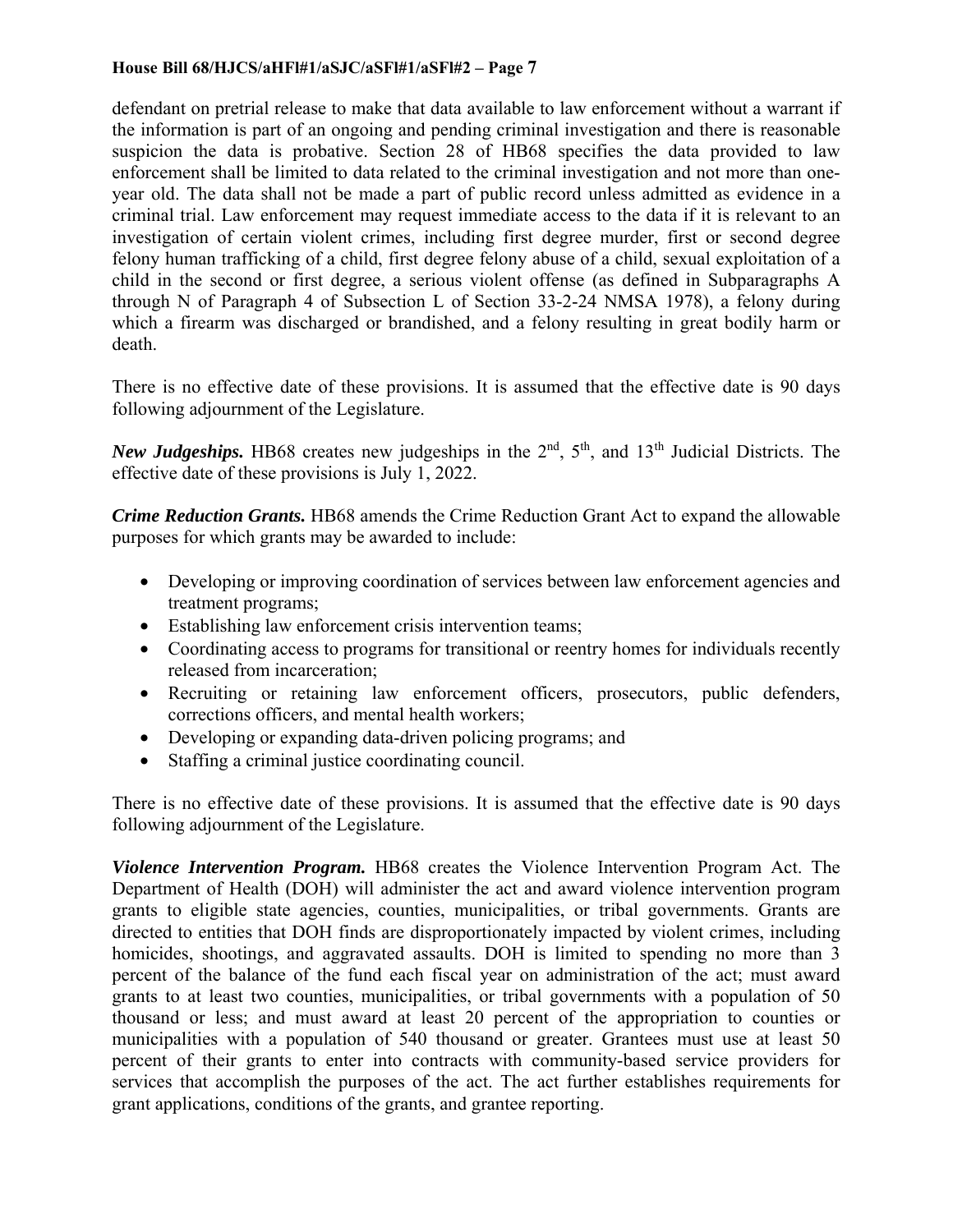defendant on pretrial release to make that data available to law enforcement without a warrant if the information is part of an ongoing and pending criminal investigation and there is reasonable suspicion the data is probative. Section 28 of HB68 specifies the data provided to law enforcement shall be limited to data related to the criminal investigation and not more than oneyear old. The data shall not be made a part of public record unless admitted as evidence in a criminal trial. Law enforcement may request immediate access to the data if it is relevant to an investigation of certain violent crimes, including first degree murder, first or second degree felony human trafficking of a child, first degree felony abuse of a child, sexual exploitation of a child in the second or first degree, a serious violent offense (as defined in Subparagraphs A through N of Paragraph 4 of Subsection L of Section 33-2-24 NMSA 1978), a felony during which a firearm was discharged or brandished, and a felony resulting in great bodily harm or death.

There is no effective date of these provisions. It is assumed that the effective date is 90 days following adjournment of the Legislature.

*New Judgeships.* HB68 creates new judgeships in the 2<sup>nd</sup>, 5<sup>th</sup>, and 13<sup>th</sup> Judicial Districts. The effective date of these provisions is July 1, 2022.

*Crime Reduction Grants.* HB68 amends the Crime Reduction Grant Act to expand the allowable purposes for which grants may be awarded to include:

- Developing or improving coordination of services between law enforcement agencies and treatment programs;
- Establishing law enforcement crisis intervention teams;
- Coordinating access to programs for transitional or reentry homes for individuals recently released from incarceration;
- Recruiting or retaining law enforcement officers, prosecutors, public defenders, corrections officers, and mental health workers;
- Developing or expanding data-driven policing programs; and
- Staffing a criminal justice coordinating council.

There is no effective date of these provisions. It is assumed that the effective date is 90 days following adjournment of the Legislature.

*Violence Intervention Program.* HB68 creates the Violence Intervention Program Act. The Department of Health (DOH) will administer the act and award violence intervention program grants to eligible state agencies, counties, municipalities, or tribal governments. Grants are directed to entities that DOH finds are disproportionately impacted by violent crimes, including homicides, shootings, and aggravated assaults. DOH is limited to spending no more than 3 percent of the balance of the fund each fiscal year on administration of the act; must award grants to at least two counties, municipalities, or tribal governments with a population of 50 thousand or less; and must award at least 20 percent of the appropriation to counties or municipalities with a population of 540 thousand or greater. Grantees must use at least 50 percent of their grants to enter into contracts with community-based service providers for services that accomplish the purposes of the act. The act further establishes requirements for grant applications, conditions of the grants, and grantee reporting.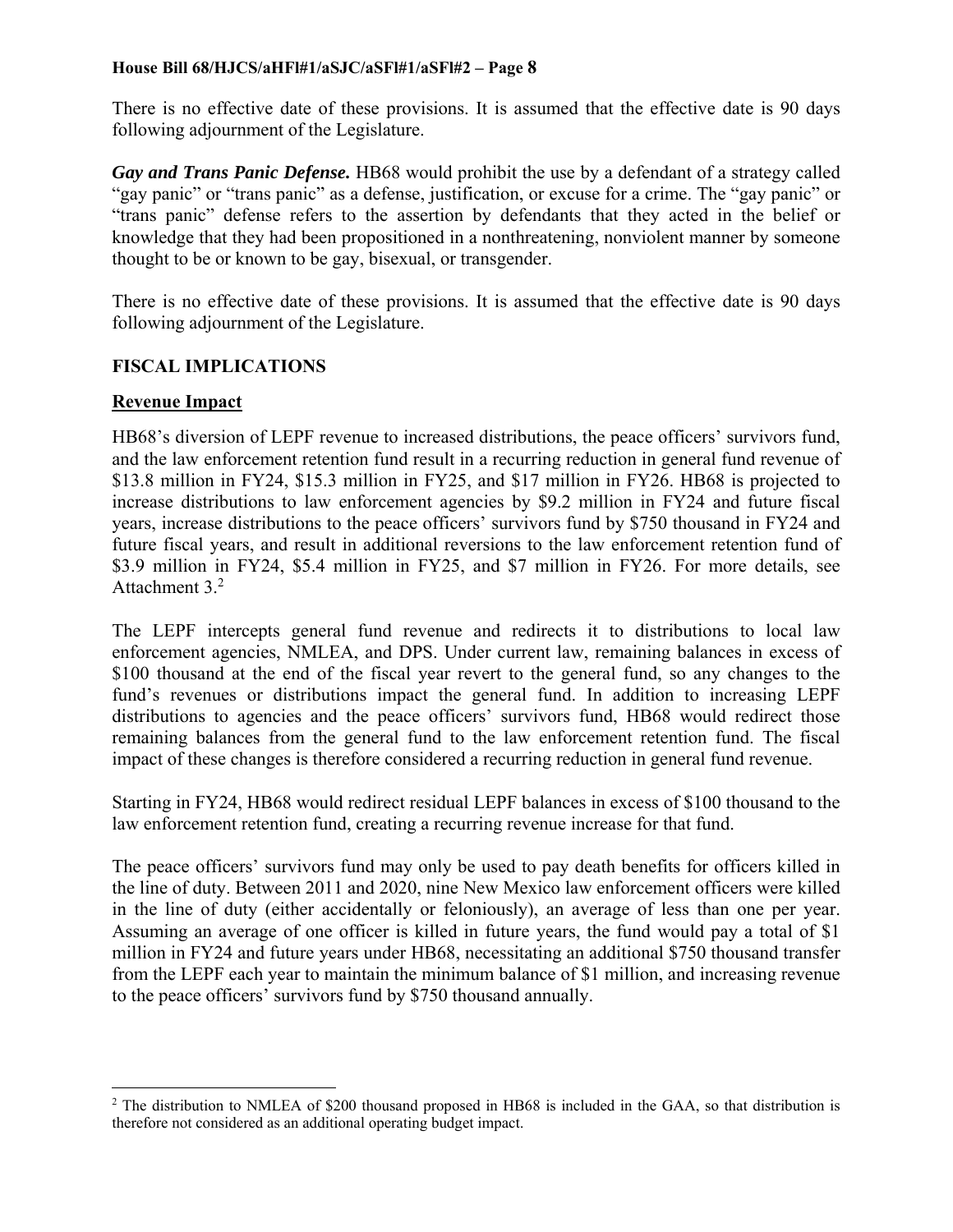There is no effective date of these provisions. It is assumed that the effective date is 90 days following adjournment of the Legislature.

*Gay and Trans Panic Defense.* HB68 would prohibit the use by a defendant of a strategy called "gay panic" or "trans panic" as a defense, justification, or excuse for a crime. The "gay panic" or "trans panic" defense refers to the assertion by defendants that they acted in the belief or knowledge that they had been propositioned in a nonthreatening, nonviolent manner by someone thought to be or known to be gay, bisexual, or transgender.

There is no effective date of these provisions. It is assumed that the effective date is 90 days following adjournment of the Legislature.

#### **FISCAL IMPLICATIONS**

#### **Revenue Impact**

 $\overline{a}$ 

HB68's diversion of LEPF revenue to increased distributions, the peace officers' survivors fund, and the law enforcement retention fund result in a recurring reduction in general fund revenue of \$13.8 million in FY24, \$15.3 million in FY25, and \$17 million in FY26. HB68 is projected to increase distributions to law enforcement agencies by \$9.2 million in FY24 and future fiscal years, increase distributions to the peace officers' survivors fund by \$750 thousand in FY24 and future fiscal years, and result in additional reversions to the law enforcement retention fund of \$3.9 million in FY24, \$5.4 million in FY25, and \$7 million in FY26. For more details, see Attachment 3.2

The LEPF intercepts general fund revenue and redirects it to distributions to local law enforcement agencies, NMLEA, and DPS. Under current law, remaining balances in excess of \$100 thousand at the end of the fiscal year revert to the general fund, so any changes to the fund's revenues or distributions impact the general fund. In addition to increasing LEPF distributions to agencies and the peace officers' survivors fund, HB68 would redirect those remaining balances from the general fund to the law enforcement retention fund. The fiscal impact of these changes is therefore considered a recurring reduction in general fund revenue.

Starting in FY24, HB68 would redirect residual LEPF balances in excess of \$100 thousand to the law enforcement retention fund, creating a recurring revenue increase for that fund.

The peace officers' survivors fund may only be used to pay death benefits for officers killed in the line of duty. Between 2011 and 2020, nine New Mexico law enforcement officers were killed in the line of duty (either accidentally or feloniously), an average of less than one per year. Assuming an average of one officer is killed in future years, the fund would pay a total of \$1 million in FY24 and future years under HB68, necessitating an additional \$750 thousand transfer from the LEPF each year to maintain the minimum balance of \$1 million, and increasing revenue to the peace officers' survivors fund by \$750 thousand annually.

<sup>&</sup>lt;sup>2</sup> The distribution to NMLEA of \$200 thousand proposed in HB68 is included in the GAA, so that distribution is therefore not considered as an additional operating budget impact.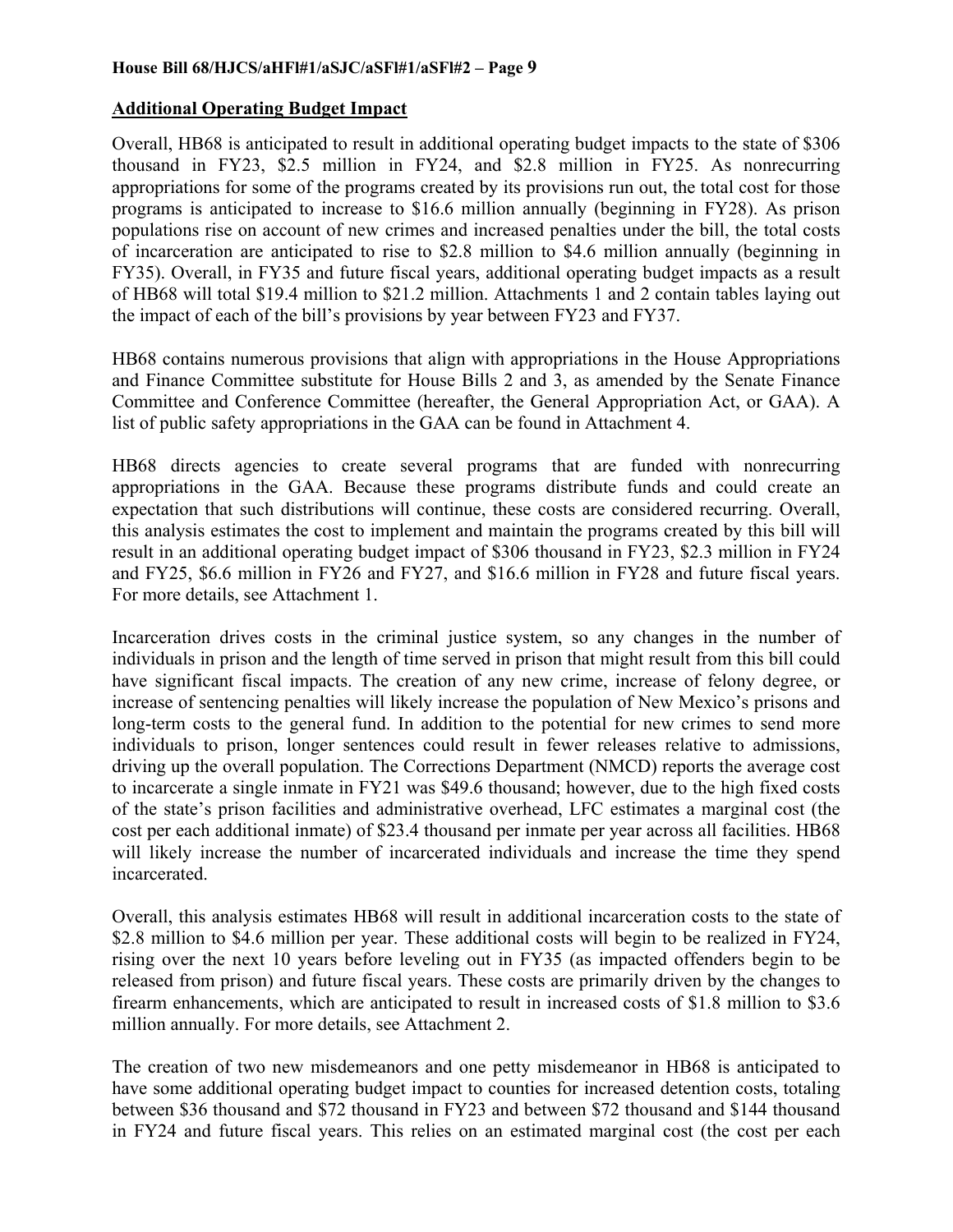## **Additional Operating Budget Impact**

Overall, HB68 is anticipated to result in additional operating budget impacts to the state of \$306 thousand in FY23, \$2.5 million in FY24, and \$2.8 million in FY25. As nonrecurring appropriations for some of the programs created by its provisions run out, the total cost for those programs is anticipated to increase to \$16.6 million annually (beginning in FY28). As prison populations rise on account of new crimes and increased penalties under the bill, the total costs of incarceration are anticipated to rise to \$2.8 million to \$4.6 million annually (beginning in FY35). Overall, in FY35 and future fiscal years, additional operating budget impacts as a result of HB68 will total \$19.4 million to \$21.2 million. Attachments 1 and 2 contain tables laying out the impact of each of the bill's provisions by year between FY23 and FY37.

HB68 contains numerous provisions that align with appropriations in the House Appropriations and Finance Committee substitute for House Bills 2 and 3, as amended by the Senate Finance Committee and Conference Committee (hereafter, the General Appropriation Act, or GAA). A list of public safety appropriations in the GAA can be found in Attachment 4.

HB68 directs agencies to create several programs that are funded with nonrecurring appropriations in the GAA. Because these programs distribute funds and could create an expectation that such distributions will continue, these costs are considered recurring. Overall, this analysis estimates the cost to implement and maintain the programs created by this bill will result in an additional operating budget impact of \$306 thousand in FY23, \$2.3 million in FY24 and FY25, \$6.6 million in FY26 and FY27, and \$16.6 million in FY28 and future fiscal years. For more details, see Attachment 1.

Incarceration drives costs in the criminal justice system, so any changes in the number of individuals in prison and the length of time served in prison that might result from this bill could have significant fiscal impacts. The creation of any new crime, increase of felony degree, or increase of sentencing penalties will likely increase the population of New Mexico's prisons and long-term costs to the general fund. In addition to the potential for new crimes to send more individuals to prison, longer sentences could result in fewer releases relative to admissions, driving up the overall population. The Corrections Department (NMCD) reports the average cost to incarcerate a single inmate in FY21 was \$49.6 thousand; however, due to the high fixed costs of the state's prison facilities and administrative overhead, LFC estimates a marginal cost (the cost per each additional inmate) of \$23.4 thousand per inmate per year across all facilities. HB68 will likely increase the number of incarcerated individuals and increase the time they spend incarcerated.

Overall, this analysis estimates HB68 will result in additional incarceration costs to the state of \$2.8 million to \$4.6 million per year. These additional costs will begin to be realized in FY24, rising over the next 10 years before leveling out in FY35 (as impacted offenders begin to be released from prison) and future fiscal years. These costs are primarily driven by the changes to firearm enhancements, which are anticipated to result in increased costs of \$1.8 million to \$3.6 million annually. For more details, see Attachment 2.

The creation of two new misdemeanors and one petty misdemeanor in HB68 is anticipated to have some additional operating budget impact to counties for increased detention costs, totaling between \$36 thousand and \$72 thousand in FY23 and between \$72 thousand and \$144 thousand in FY24 and future fiscal years. This relies on an estimated marginal cost (the cost per each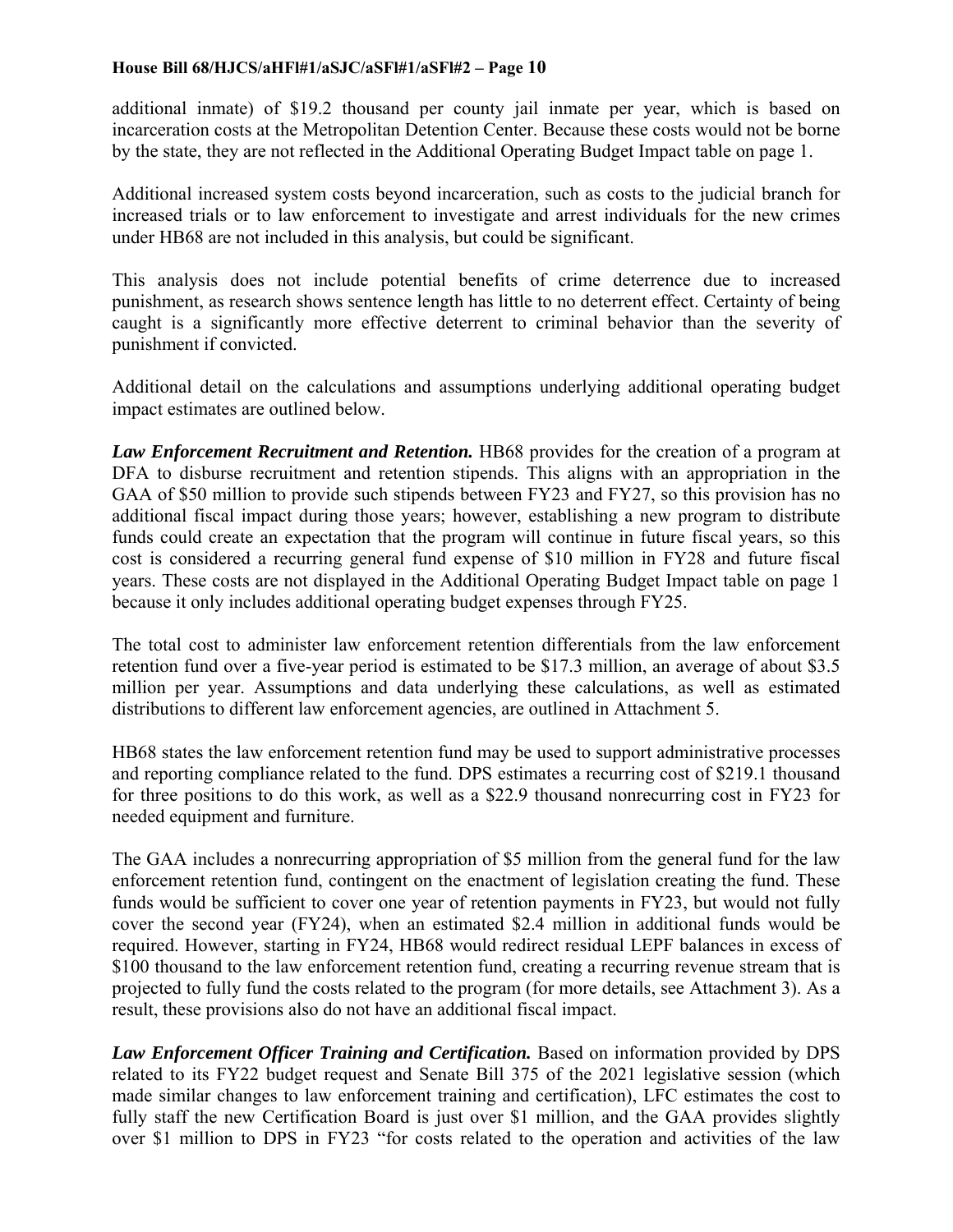additional inmate) of \$19.2 thousand per county jail inmate per year, which is based on incarceration costs at the Metropolitan Detention Center. Because these costs would not be borne by the state, they are not reflected in the Additional Operating Budget Impact table on page 1.

Additional increased system costs beyond incarceration, such as costs to the judicial branch for increased trials or to law enforcement to investigate and arrest individuals for the new crimes under HB68 are not included in this analysis, but could be significant.

This analysis does not include potential benefits of crime deterrence due to increased punishment, as research shows sentence length has little to no deterrent effect. Certainty of being caught is a significantly more effective deterrent to criminal behavior than the severity of punishment if convicted.

Additional detail on the calculations and assumptions underlying additional operating budget impact estimates are outlined below.

Law *Enforcement Recruitment and Retention*. **HB68** provides for the creation of a program at DFA to disburse recruitment and retention stipends. This aligns with an appropriation in the GAA of \$50 million to provide such stipends between FY23 and FY27, so this provision has no additional fiscal impact during those years; however, establishing a new program to distribute funds could create an expectation that the program will continue in future fiscal years, so this cost is considered a recurring general fund expense of \$10 million in FY28 and future fiscal years. These costs are not displayed in the Additional Operating Budget Impact table on page 1 because it only includes additional operating budget expenses through FY25.

The total cost to administer law enforcement retention differentials from the law enforcement retention fund over a five-year period is estimated to be \$17.3 million, an average of about \$3.5 million per year. Assumptions and data underlying these calculations, as well as estimated distributions to different law enforcement agencies, are outlined in Attachment 5.

HB68 states the law enforcement retention fund may be used to support administrative processes and reporting compliance related to the fund. DPS estimates a recurring cost of \$219.1 thousand for three positions to do this work, as well as a \$22.9 thousand nonrecurring cost in FY23 for needed equipment and furniture.

The GAA includes a nonrecurring appropriation of \$5 million from the general fund for the law enforcement retention fund, contingent on the enactment of legislation creating the fund. These funds would be sufficient to cover one year of retention payments in FY23, but would not fully cover the second year (FY24), when an estimated \$2.4 million in additional funds would be required. However, starting in FY24, HB68 would redirect residual LEPF balances in excess of \$100 thousand to the law enforcement retention fund, creating a recurring revenue stream that is projected to fully fund the costs related to the program (for more details, see Attachment 3). As a result, these provisions also do not have an additional fiscal impact.

*Law Enforcement Officer Training and Certification.* Based on information provided by DPS related to its FY22 budget request and Senate Bill 375 of the 2021 legislative session (which made similar changes to law enforcement training and certification), LFC estimates the cost to fully staff the new Certification Board is just over \$1 million, and the GAA provides slightly over \$1 million to DPS in FY23 "for costs related to the operation and activities of the law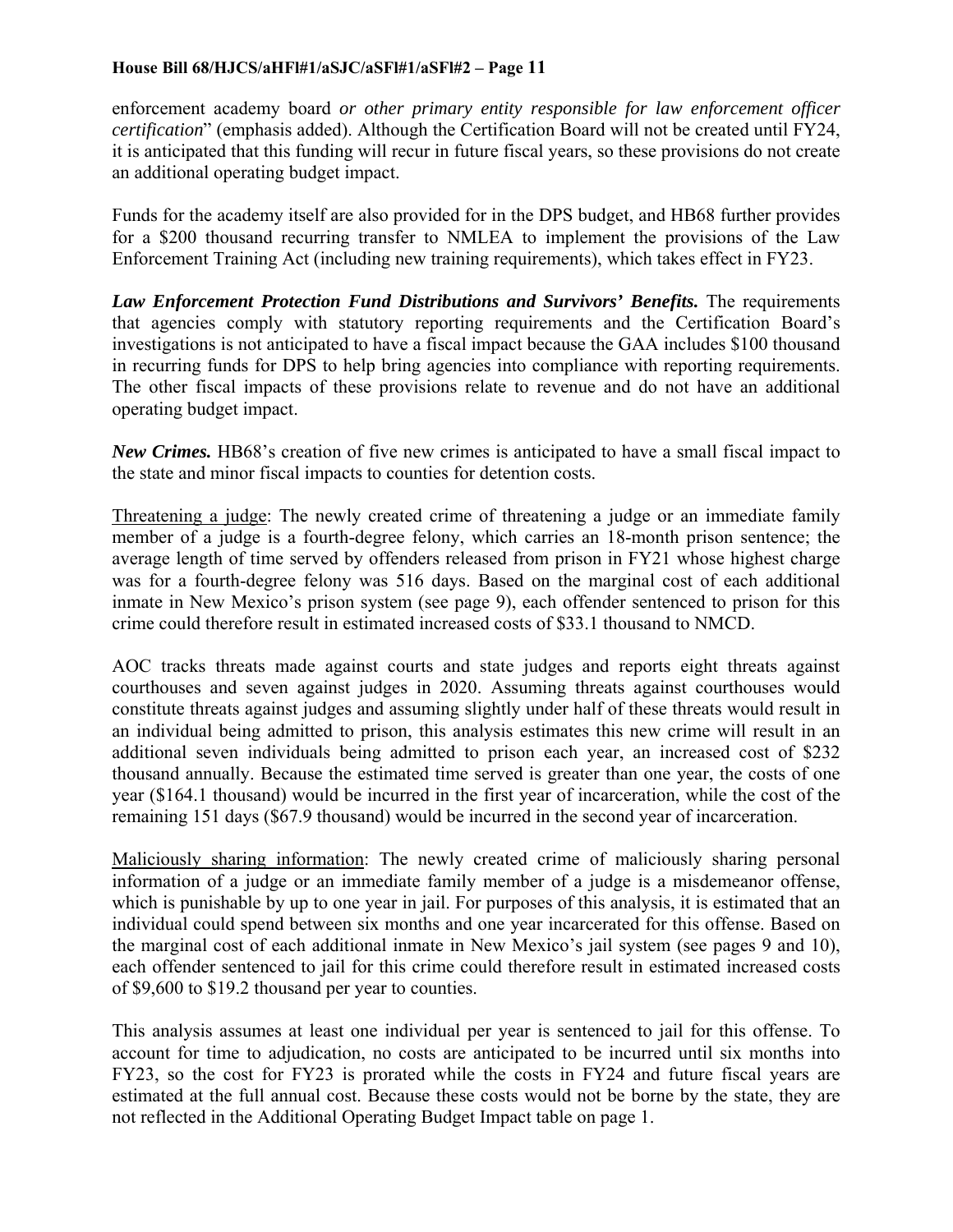enforcement academy board *or other primary entity responsible for law enforcement officer certification*" (emphasis added). Although the Certification Board will not be created until FY24, it is anticipated that this funding will recur in future fiscal years, so these provisions do not create an additional operating budget impact.

Funds for the academy itself are also provided for in the DPS budget, and HB68 further provides for a \$200 thousand recurring transfer to NMLEA to implement the provisions of the Law Enforcement Training Act (including new training requirements), which takes effect in FY23.

Law *Enforcement Protection Fund Distributions and Survivors' Benefits*. The requirements that agencies comply with statutory reporting requirements and the Certification Board's investigations is not anticipated to have a fiscal impact because the GAA includes \$100 thousand in recurring funds for DPS to help bring agencies into compliance with reporting requirements. The other fiscal impacts of these provisions relate to revenue and do not have an additional operating budget impact.

*New Crimes.* HB68's creation of five new crimes is anticipated to have a small fiscal impact to the state and minor fiscal impacts to counties for detention costs.

Threatening a judge: The newly created crime of threatening a judge or an immediate family member of a judge is a fourth-degree felony, which carries an 18-month prison sentence; the average length of time served by offenders released from prison in FY21 whose highest charge was for a fourth-degree felony was 516 days. Based on the marginal cost of each additional inmate in New Mexico's prison system (see page 9), each offender sentenced to prison for this crime could therefore result in estimated increased costs of \$33.1 thousand to NMCD.

AOC tracks threats made against courts and state judges and reports eight threats against courthouses and seven against judges in 2020. Assuming threats against courthouses would constitute threats against judges and assuming slightly under half of these threats would result in an individual being admitted to prison, this analysis estimates this new crime will result in an additional seven individuals being admitted to prison each year, an increased cost of \$232 thousand annually. Because the estimated time served is greater than one year, the costs of one year (\$164.1 thousand) would be incurred in the first year of incarceration, while the cost of the remaining 151 days (\$67.9 thousand) would be incurred in the second year of incarceration.

Maliciously sharing information: The newly created crime of maliciously sharing personal information of a judge or an immediate family member of a judge is a misdemeanor offense, which is punishable by up to one year in jail. For purposes of this analysis, it is estimated that an individual could spend between six months and one year incarcerated for this offense. Based on the marginal cost of each additional inmate in New Mexico's jail system (see pages 9 and 10), each offender sentenced to jail for this crime could therefore result in estimated increased costs of \$9,600 to \$19.2 thousand per year to counties.

This analysis assumes at least one individual per year is sentenced to jail for this offense. To account for time to adjudication, no costs are anticipated to be incurred until six months into FY23, so the cost for FY23 is prorated while the costs in FY24 and future fiscal years are estimated at the full annual cost. Because these costs would not be borne by the state, they are not reflected in the Additional Operating Budget Impact table on page 1.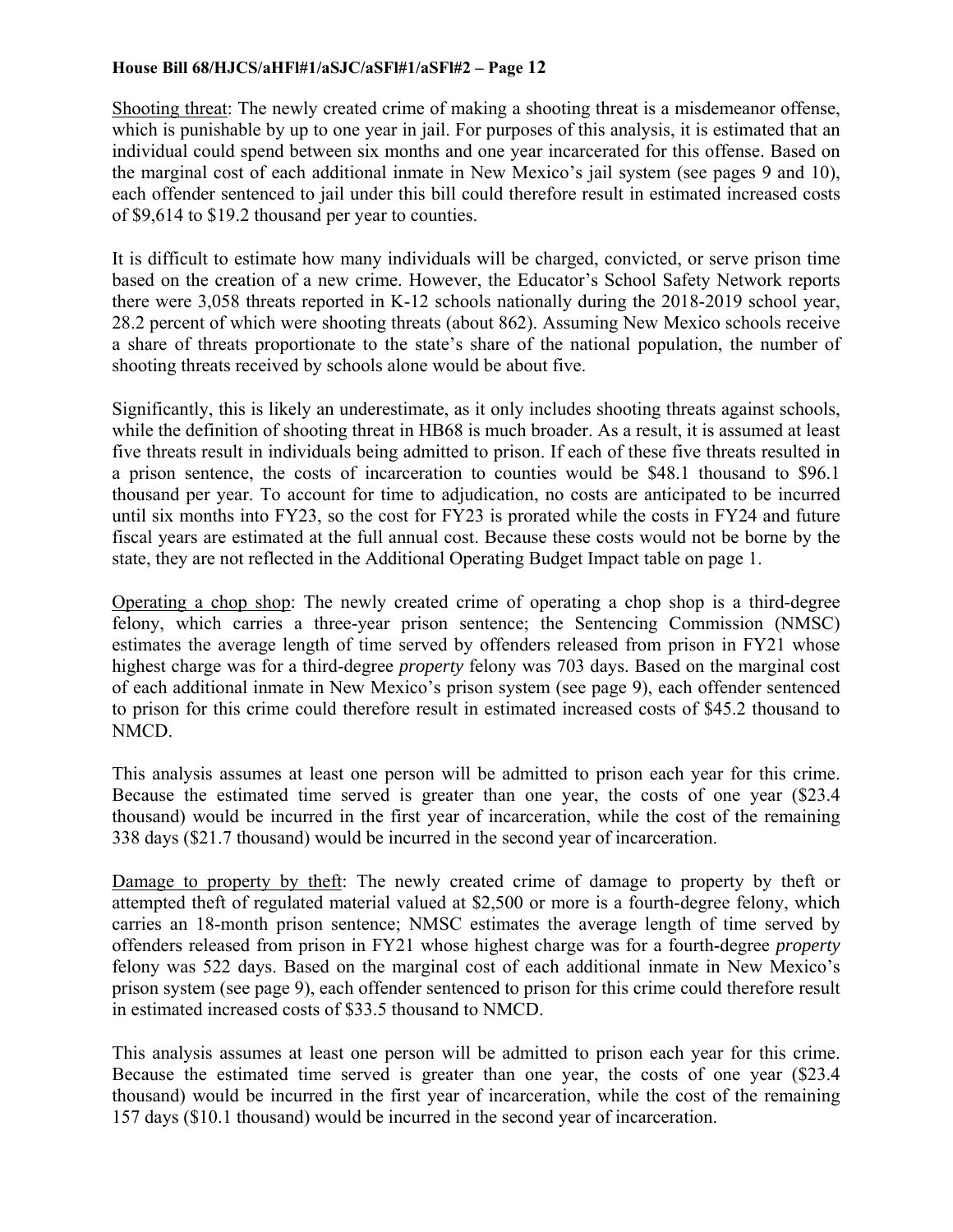Shooting threat: The newly created crime of making a shooting threat is a misdemeanor offense, which is punishable by up to one year in jail. For purposes of this analysis, it is estimated that an individual could spend between six months and one year incarcerated for this offense. Based on the marginal cost of each additional inmate in New Mexico's jail system (see pages 9 and 10), each offender sentenced to jail under this bill could therefore result in estimated increased costs of \$9,614 to \$19.2 thousand per year to counties.

It is difficult to estimate how many individuals will be charged, convicted, or serve prison time based on the creation of a new crime. However, the Educator's School Safety Network reports there were 3,058 threats reported in K-12 schools nationally during the 2018-2019 school year, 28.2 percent of which were shooting threats (about 862). Assuming New Mexico schools receive a share of threats proportionate to the state's share of the national population, the number of shooting threats received by schools alone would be about five.

Significantly, this is likely an underestimate, as it only includes shooting threats against schools, while the definition of shooting threat in HB68 is much broader. As a result, it is assumed at least five threats result in individuals being admitted to prison. If each of these five threats resulted in a prison sentence, the costs of incarceration to counties would be \$48.1 thousand to \$96.1 thousand per year. To account for time to adjudication, no costs are anticipated to be incurred until six months into FY23, so the cost for FY23 is prorated while the costs in FY24 and future fiscal years are estimated at the full annual cost. Because these costs would not be borne by the state, they are not reflected in the Additional Operating Budget Impact table on page 1.

Operating a chop shop: The newly created crime of operating a chop shop is a third-degree felony, which carries a three-year prison sentence; the Sentencing Commission (NMSC) estimates the average length of time served by offenders released from prison in FY21 whose highest charge was for a third-degree *property* felony was 703 days. Based on the marginal cost of each additional inmate in New Mexico's prison system (see page 9), each offender sentenced to prison for this crime could therefore result in estimated increased costs of \$45.2 thousand to NMCD.

This analysis assumes at least one person will be admitted to prison each year for this crime. Because the estimated time served is greater than one year, the costs of one year (\$23.4 thousand) would be incurred in the first year of incarceration, while the cost of the remaining 338 days (\$21.7 thousand) would be incurred in the second year of incarceration.

Damage to property by theft: The newly created crime of damage to property by theft or attempted theft of regulated material valued at \$2,500 or more is a fourth-degree felony, which carries an 18-month prison sentence; NMSC estimates the average length of time served by offenders released from prison in FY21 whose highest charge was for a fourth-degree *property* felony was 522 days. Based on the marginal cost of each additional inmate in New Mexico's prison system (see page 9), each offender sentenced to prison for this crime could therefore result in estimated increased costs of \$33.5 thousand to NMCD.

This analysis assumes at least one person will be admitted to prison each year for this crime. Because the estimated time served is greater than one year, the costs of one year (\$23.4 thousand) would be incurred in the first year of incarceration, while the cost of the remaining 157 days (\$10.1 thousand) would be incurred in the second year of incarceration.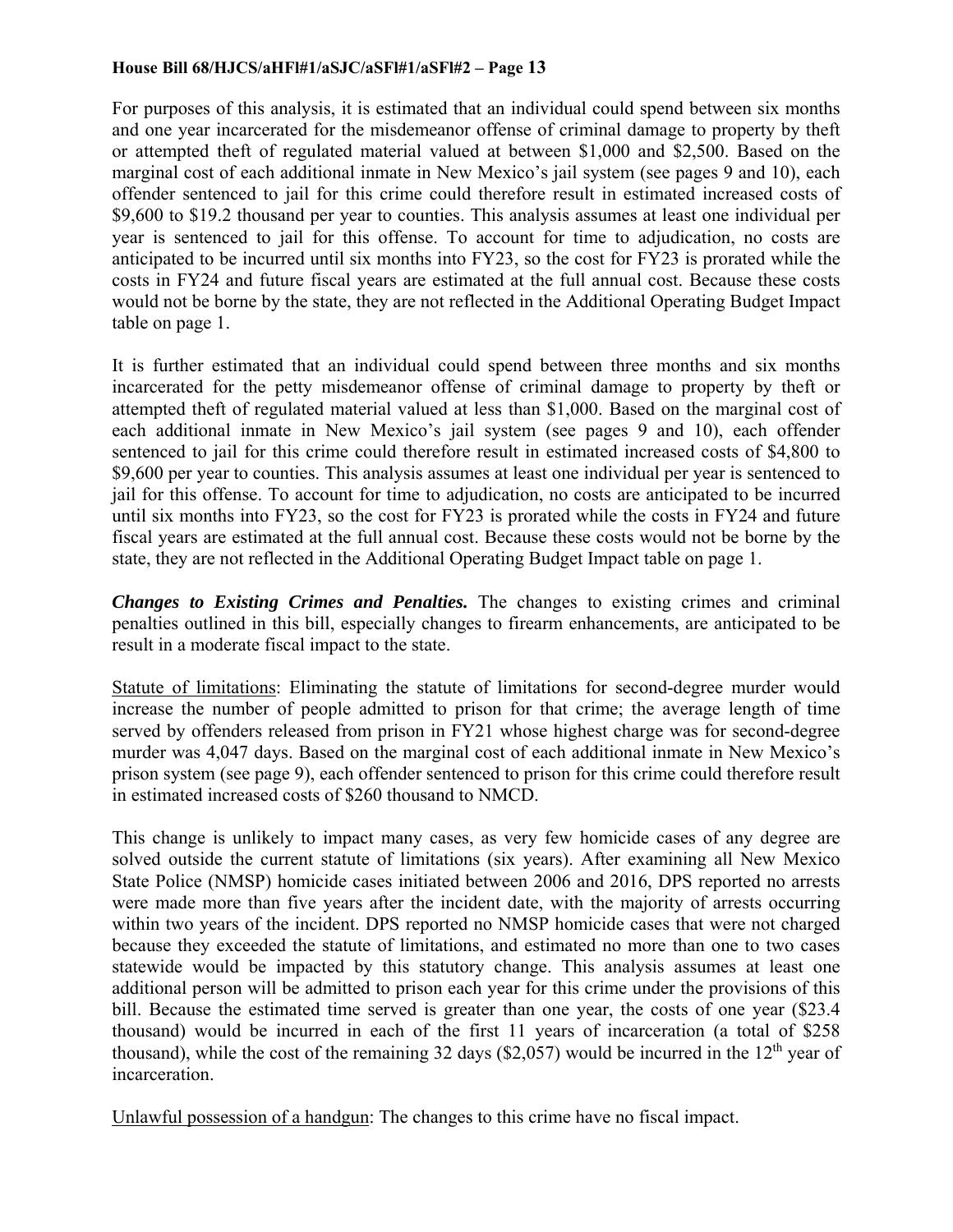For purposes of this analysis, it is estimated that an individual could spend between six months and one year incarcerated for the misdemeanor offense of criminal damage to property by theft or attempted theft of regulated material valued at between \$1,000 and \$2,500. Based on the marginal cost of each additional inmate in New Mexico's jail system (see pages 9 and 10), each offender sentenced to jail for this crime could therefore result in estimated increased costs of \$9,600 to \$19.2 thousand per year to counties. This analysis assumes at least one individual per year is sentenced to jail for this offense. To account for time to adjudication, no costs are anticipated to be incurred until six months into FY23, so the cost for FY23 is prorated while the costs in FY24 and future fiscal years are estimated at the full annual cost. Because these costs would not be borne by the state, they are not reflected in the Additional Operating Budget Impact table on page 1.

It is further estimated that an individual could spend between three months and six months incarcerated for the petty misdemeanor offense of criminal damage to property by theft or attempted theft of regulated material valued at less than \$1,000. Based on the marginal cost of each additional inmate in New Mexico's jail system (see pages 9 and 10), each offender sentenced to jail for this crime could therefore result in estimated increased costs of \$4,800 to \$9,600 per year to counties. This analysis assumes at least one individual per year is sentenced to jail for this offense. To account for time to adjudication, no costs are anticipated to be incurred until six months into FY23, so the cost for FY23 is prorated while the costs in FY24 and future fiscal years are estimated at the full annual cost. Because these costs would not be borne by the state, they are not reflected in the Additional Operating Budget Impact table on page 1.

*Changes to Existing Crimes and Penalties.* The changes to existing crimes and criminal penalties outlined in this bill, especially changes to firearm enhancements, are anticipated to be result in a moderate fiscal impact to the state.

Statute of limitations: Eliminating the statute of limitations for second-degree murder would increase the number of people admitted to prison for that crime; the average length of time served by offenders released from prison in FY21 whose highest charge was for second-degree murder was 4,047 days. Based on the marginal cost of each additional inmate in New Mexico's prison system (see page 9), each offender sentenced to prison for this crime could therefore result in estimated increased costs of \$260 thousand to NMCD.

This change is unlikely to impact many cases, as very few homicide cases of any degree are solved outside the current statute of limitations (six years). After examining all New Mexico State Police (NMSP) homicide cases initiated between 2006 and 2016, DPS reported no arrests were made more than five years after the incident date, with the majority of arrests occurring within two years of the incident. DPS reported no NMSP homicide cases that were not charged because they exceeded the statute of limitations, and estimated no more than one to two cases statewide would be impacted by this statutory change. This analysis assumes at least one additional person will be admitted to prison each year for this crime under the provisions of this bill. Because the estimated time served is greater than one year, the costs of one year (\$23.4 thousand) would be incurred in each of the first 11 years of incarceration (a total of \$258 thousand), while the cost of the remaining 32 days (\$2,057) would be incurred in the  $12<sup>th</sup>$  year of incarceration.

Unlawful possession of a handgun: The changes to this crime have no fiscal impact.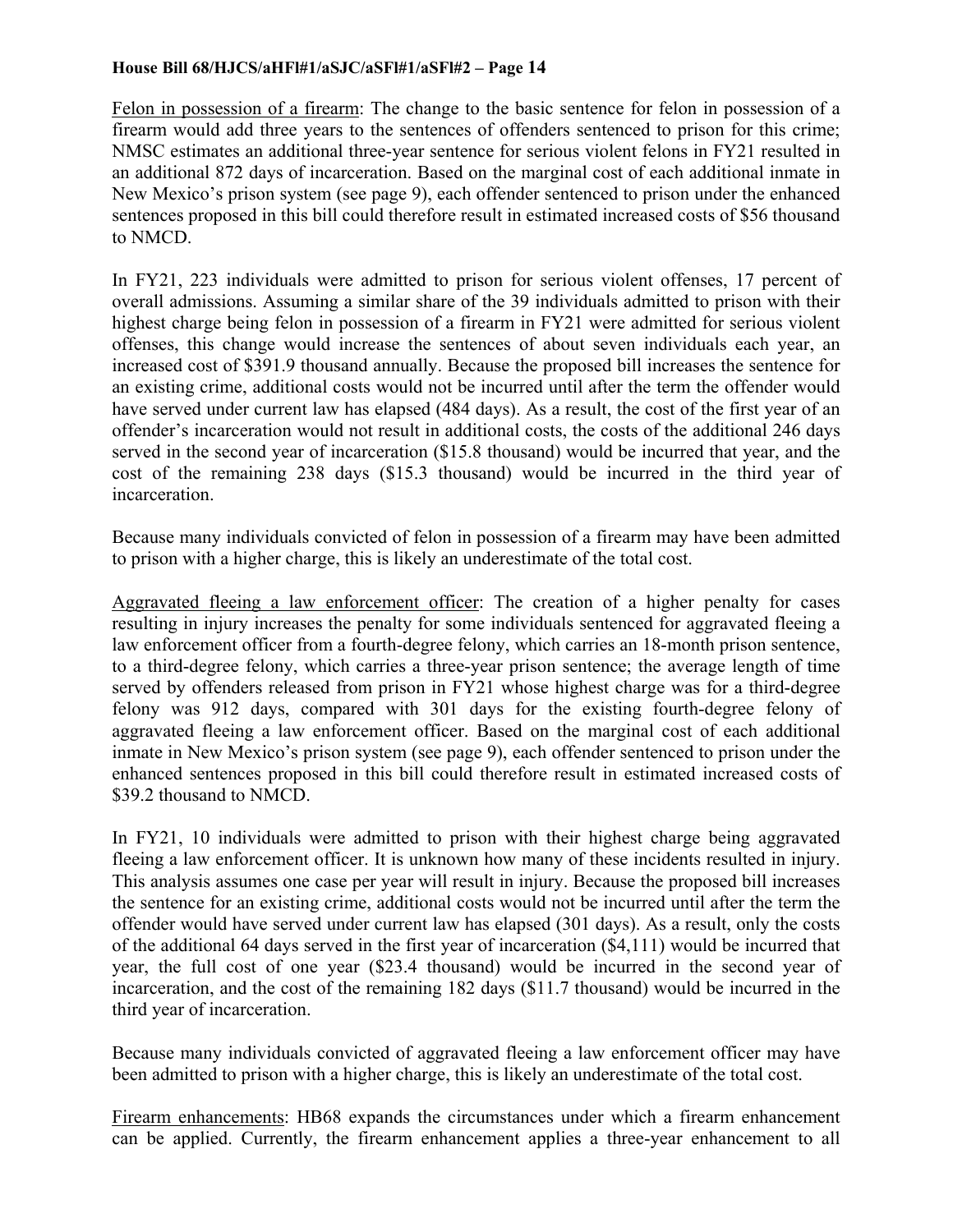Felon in possession of a firearm: The change to the basic sentence for felon in possession of a firearm would add three years to the sentences of offenders sentenced to prison for this crime; NMSC estimates an additional three-year sentence for serious violent felons in FY21 resulted in an additional 872 days of incarceration. Based on the marginal cost of each additional inmate in New Mexico's prison system (see page 9), each offender sentenced to prison under the enhanced sentences proposed in this bill could therefore result in estimated increased costs of \$56 thousand to NMCD.

In FY21, 223 individuals were admitted to prison for serious violent offenses, 17 percent of overall admissions. Assuming a similar share of the 39 individuals admitted to prison with their highest charge being felon in possession of a firearm in FY21 were admitted for serious violent offenses, this change would increase the sentences of about seven individuals each year, an increased cost of \$391.9 thousand annually. Because the proposed bill increases the sentence for an existing crime, additional costs would not be incurred until after the term the offender would have served under current law has elapsed (484 days). As a result, the cost of the first year of an offender's incarceration would not result in additional costs, the costs of the additional 246 days served in the second year of incarceration (\$15.8 thousand) would be incurred that year, and the cost of the remaining 238 days (\$15.3 thousand) would be incurred in the third year of incarceration.

Because many individuals convicted of felon in possession of a firearm may have been admitted to prison with a higher charge, this is likely an underestimate of the total cost.

Aggravated fleeing a law enforcement officer: The creation of a higher penalty for cases resulting in injury increases the penalty for some individuals sentenced for aggravated fleeing a law enforcement officer from a fourth-degree felony, which carries an 18-month prison sentence, to a third-degree felony, which carries a three-year prison sentence; the average length of time served by offenders released from prison in FY21 whose highest charge was for a third-degree felony was 912 days, compared with 301 days for the existing fourth-degree felony of aggravated fleeing a law enforcement officer. Based on the marginal cost of each additional inmate in New Mexico's prison system (see page 9), each offender sentenced to prison under the enhanced sentences proposed in this bill could therefore result in estimated increased costs of \$39.2 thousand to NMCD.

In FY21, 10 individuals were admitted to prison with their highest charge being aggravated fleeing a law enforcement officer. It is unknown how many of these incidents resulted in injury. This analysis assumes one case per year will result in injury. Because the proposed bill increases the sentence for an existing crime, additional costs would not be incurred until after the term the offender would have served under current law has elapsed (301 days). As a result, only the costs of the additional 64 days served in the first year of incarceration (\$4,111) would be incurred that year, the full cost of one year (\$23.4 thousand) would be incurred in the second year of incarceration, and the cost of the remaining 182 days (\$11.7 thousand) would be incurred in the third year of incarceration.

Because many individuals convicted of aggravated fleeing a law enforcement officer may have been admitted to prison with a higher charge, this is likely an underestimate of the total cost.

Firearm enhancements: HB68 expands the circumstances under which a firearm enhancement can be applied. Currently, the firearm enhancement applies a three-year enhancement to all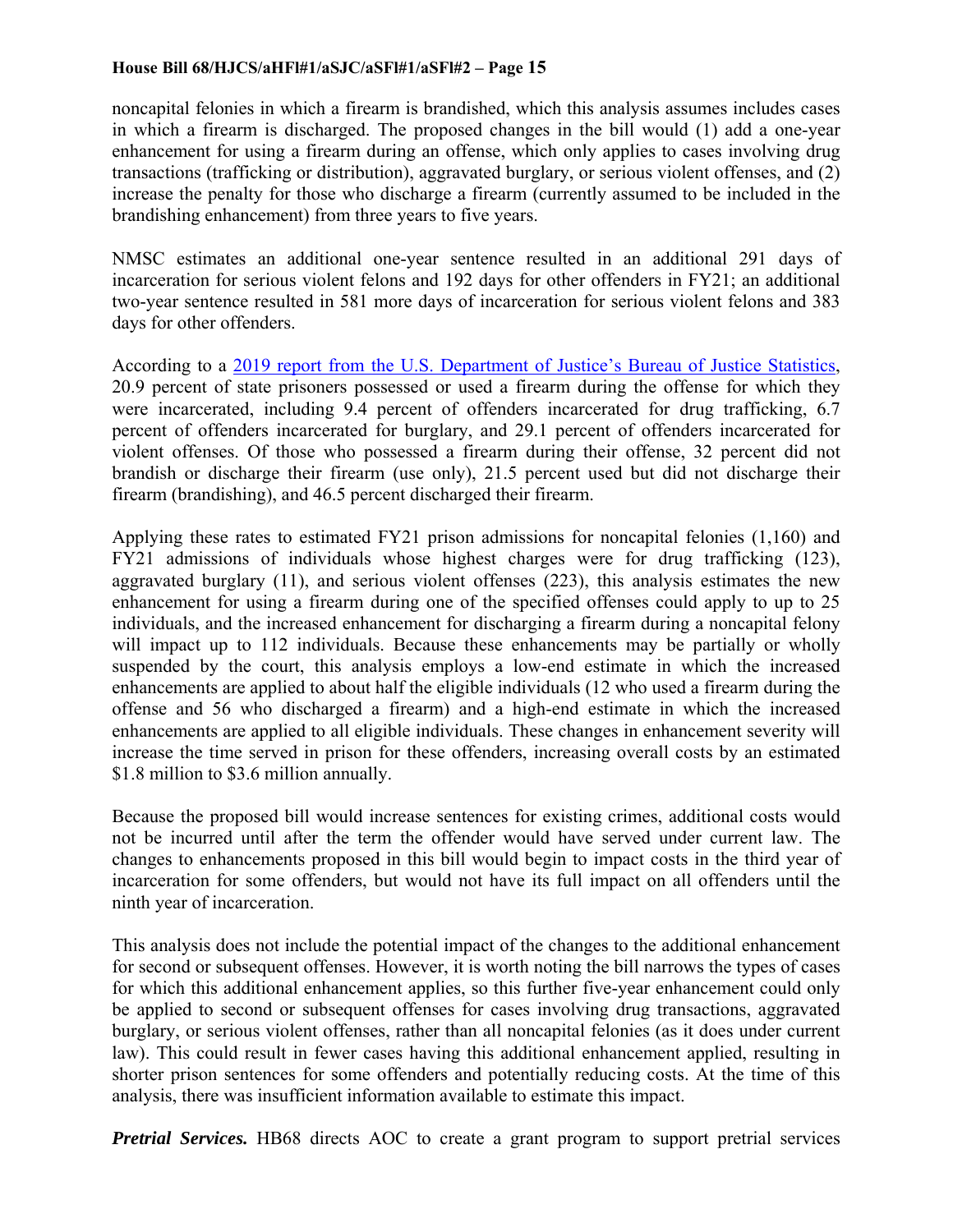noncapital felonies in which a firearm is brandished, which this analysis assumes includes cases in which a firearm is discharged. The proposed changes in the bill would (1) add a one-year enhancement for using a firearm during an offense, which only applies to cases involving drug transactions (trafficking or distribution), aggravated burglary, or serious violent offenses, and (2) increase the penalty for those who discharge a firearm (currently assumed to be included in the brandishing enhancement) from three years to five years.

NMSC estimates an additional one-year sentence resulted in an additional 291 days of incarceration for serious violent felons and 192 days for other offenders in FY21; an additional two-year sentence resulted in 581 more days of incarceration for serious violent felons and 383 days for other offenders.

According to a 2019 report from the U.S. Department of Justice's Bureau of Justice Statistics, 20.9 percent of state prisoners possessed or used a firearm during the offense for which they were incarcerated, including 9.4 percent of offenders incarcerated for drug trafficking, 6.7 percent of offenders incarcerated for burglary, and 29.1 percent of offenders incarcerated for violent offenses. Of those who possessed a firearm during their offense, 32 percent did not brandish or discharge their firearm (use only), 21.5 percent used but did not discharge their firearm (brandishing), and 46.5 percent discharged their firearm.

Applying these rates to estimated FY21 prison admissions for noncapital felonies (1,160) and FY21 admissions of individuals whose highest charges were for drug trafficking (123), aggravated burglary (11), and serious violent offenses (223), this analysis estimates the new enhancement for using a firearm during one of the specified offenses could apply to up to 25 individuals, and the increased enhancement for discharging a firearm during a noncapital felony will impact up to 112 individuals. Because these enhancements may be partially or wholly suspended by the court, this analysis employs a low-end estimate in which the increased enhancements are applied to about half the eligible individuals (12 who used a firearm during the offense and 56 who discharged a firearm) and a high-end estimate in which the increased enhancements are applied to all eligible individuals. These changes in enhancement severity will increase the time served in prison for these offenders, increasing overall costs by an estimated \$1.8 million to \$3.6 million annually.

Because the proposed bill would increase sentences for existing crimes, additional costs would not be incurred until after the term the offender would have served under current law. The changes to enhancements proposed in this bill would begin to impact costs in the third year of incarceration for some offenders, but would not have its full impact on all offenders until the ninth year of incarceration.

This analysis does not include the potential impact of the changes to the additional enhancement for second or subsequent offenses. However, it is worth noting the bill narrows the types of cases for which this additional enhancement applies, so this further five-year enhancement could only be applied to second or subsequent offenses for cases involving drug transactions, aggravated burglary, or serious violent offenses, rather than all noncapital felonies (as it does under current law). This could result in fewer cases having this additional enhancement applied, resulting in shorter prison sentences for some offenders and potentially reducing costs. At the time of this analysis, there was insufficient information available to estimate this impact.

*Pretrial Services.* HB68 directs AOC to create a grant program to support pretrial services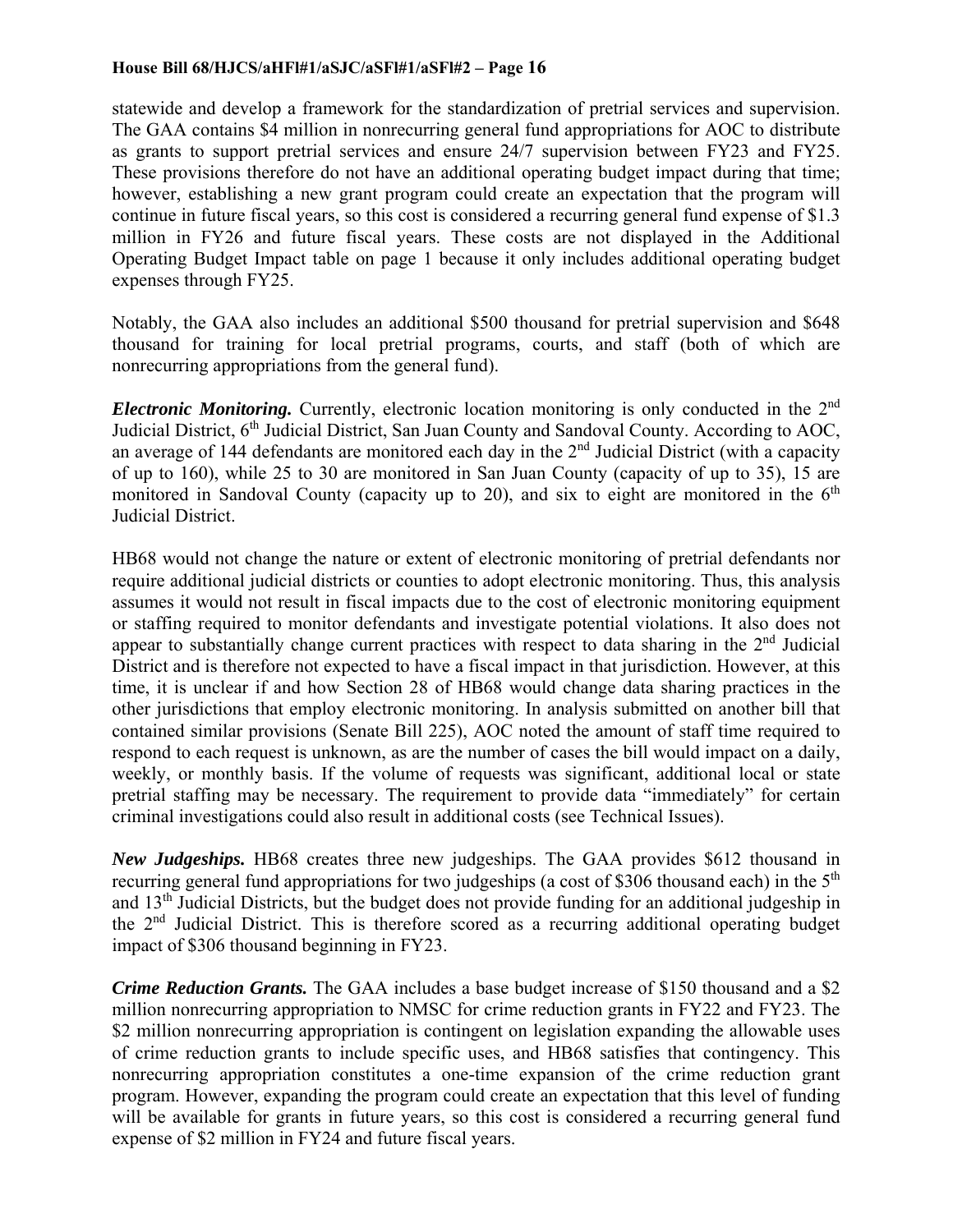statewide and develop a framework for the standardization of pretrial services and supervision. The GAA contains \$4 million in nonrecurring general fund appropriations for AOC to distribute as grants to support pretrial services and ensure 24/7 supervision between FY23 and FY25. These provisions therefore do not have an additional operating budget impact during that time; however, establishing a new grant program could create an expectation that the program will continue in future fiscal years, so this cost is considered a recurring general fund expense of \$1.3 million in FY26 and future fiscal years. These costs are not displayed in the Additional Operating Budget Impact table on page 1 because it only includes additional operating budget expenses through FY25.

Notably, the GAA also includes an additional \$500 thousand for pretrial supervision and \$648 thousand for training for local pretrial programs, courts, and staff (both of which are nonrecurring appropriations from the general fund).

*Electronic Monitoring.* Currently, electronic location monitoring is only conducted in the 2<sup>nd</sup> Judicial District, 6<sup>th</sup> Judicial District, San Juan County and Sandoval County. According to AOC, an average of 144 defendants are monitored each day in the  $2<sup>nd</sup>$  Judicial District (with a capacity of up to 160), while 25 to 30 are monitored in San Juan County (capacity of up to 35), 15 are monitored in Sandoval County (capacity up to 20), and six to eight are monitored in the  $6<sup>th</sup>$ Judicial District.

HB68 would not change the nature or extent of electronic monitoring of pretrial defendants nor require additional judicial districts or counties to adopt electronic monitoring. Thus, this analysis assumes it would not result in fiscal impacts due to the cost of electronic monitoring equipment or staffing required to monitor defendants and investigate potential violations. It also does not appear to substantially change current practices with respect to data sharing in the  $2<sup>nd</sup>$  Judicial District and is therefore not expected to have a fiscal impact in that jurisdiction. However, at this time, it is unclear if and how Section 28 of HB68 would change data sharing practices in the other jurisdictions that employ electronic monitoring. In analysis submitted on another bill that contained similar provisions (Senate Bill 225), AOC noted the amount of staff time required to respond to each request is unknown, as are the number of cases the bill would impact on a daily, weekly, or monthly basis. If the volume of requests was significant, additional local or state pretrial staffing may be necessary. The requirement to provide data "immediately" for certain criminal investigations could also result in additional costs (see Technical Issues).

*New Judgeships.* HB68 creates three new judgeships. The GAA provides \$612 thousand in recurring general fund appropriations for two judgeships (a cost of \$306 thousand each) in the 5<sup>th</sup> and 13th Judicial Districts, but the budget does not provide funding for an additional judgeship in the 2nd Judicial District. This is therefore scored as a recurring additional operating budget impact of \$306 thousand beginning in FY23.

*Crime Reduction Grants.* The GAA includes a base budget increase of \$150 thousand and a \$2 million nonrecurring appropriation to NMSC for crime reduction grants in FY22 and FY23. The \$2 million nonrecurring appropriation is contingent on legislation expanding the allowable uses of crime reduction grants to include specific uses, and HB68 satisfies that contingency. This nonrecurring appropriation constitutes a one-time expansion of the crime reduction grant program. However, expanding the program could create an expectation that this level of funding will be available for grants in future years, so this cost is considered a recurring general fund expense of \$2 million in FY24 and future fiscal years.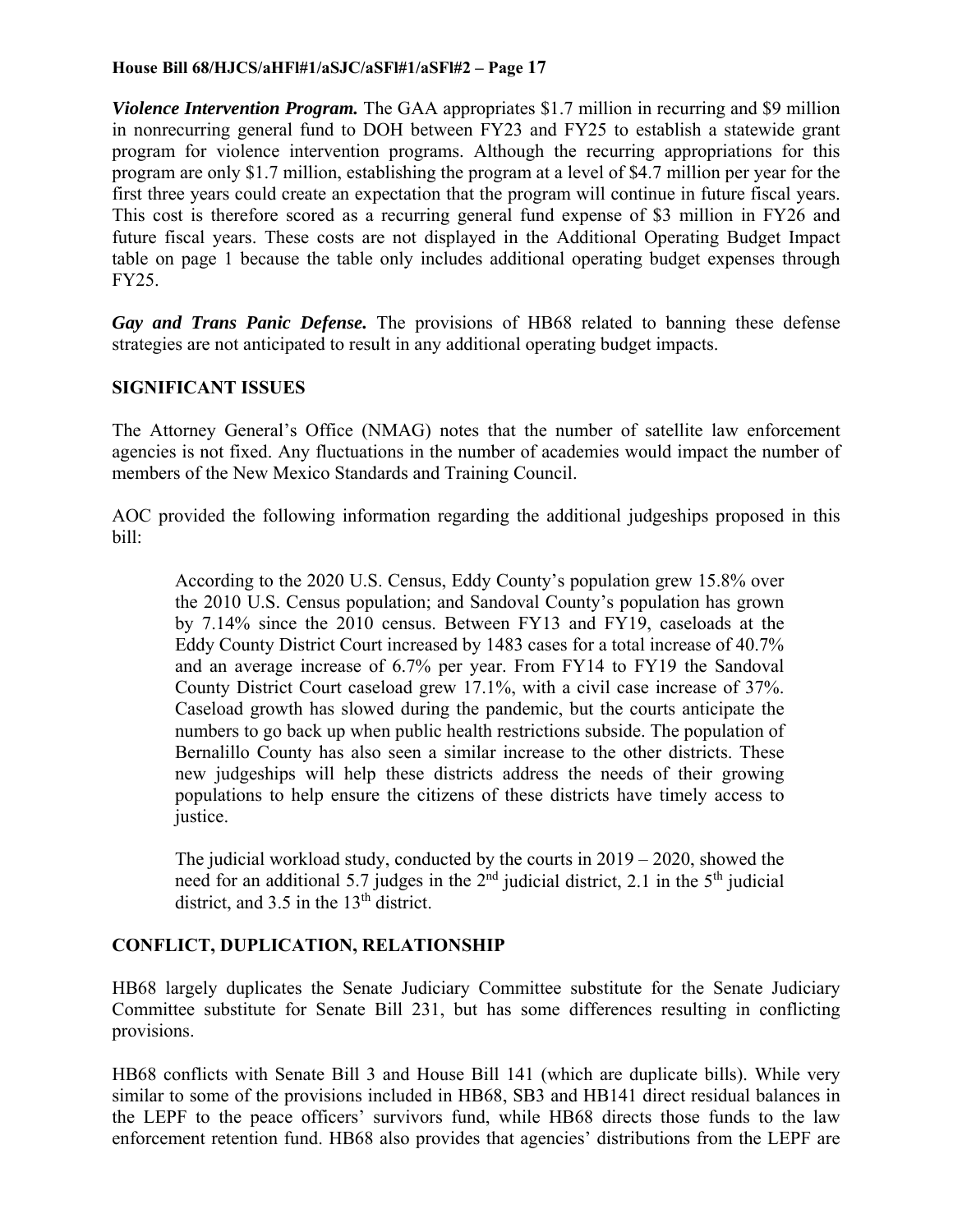*Violence Intervention Program.* The GAA appropriates \$1.7 million in recurring and \$9 million in nonrecurring general fund to DOH between FY23 and FY25 to establish a statewide grant program for violence intervention programs. Although the recurring appropriations for this program are only \$1.7 million, establishing the program at a level of \$4.7 million per year for the first three years could create an expectation that the program will continue in future fiscal years. This cost is therefore scored as a recurring general fund expense of \$3 million in FY26 and future fiscal years. These costs are not displayed in the Additional Operating Budget Impact table on page 1 because the table only includes additional operating budget expenses through FY25.

*Gay and Trans Panic Defense.* The provisions of HB68 related to banning these defense strategies are not anticipated to result in any additional operating budget impacts.

## **SIGNIFICANT ISSUES**

The Attorney General's Office (NMAG) notes that the number of satellite law enforcement agencies is not fixed. Any fluctuations in the number of academies would impact the number of members of the New Mexico Standards and Training Council.

AOC provided the following information regarding the additional judgeships proposed in this bill:

According to the 2020 U.S. Census, Eddy County's population grew 15.8% over the 2010 U.S. Census population; and Sandoval County's population has grown by 7.14% since the 2010 census. Between FY13 and FY19, caseloads at the Eddy County District Court increased by 1483 cases for a total increase of 40.7% and an average increase of 6.7% per year. From FY14 to FY19 the Sandoval County District Court caseload grew 17.1%, with a civil case increase of 37%. Caseload growth has slowed during the pandemic, but the courts anticipate the numbers to go back up when public health restrictions subside. The population of Bernalillo County has also seen a similar increase to the other districts. These new judgeships will help these districts address the needs of their growing populations to help ensure the citizens of these districts have timely access to justice.

The judicial workload study, conducted by the courts in 2019 – 2020, showed the need for an additional 5.7 judges in the  $2<sup>nd</sup>$  judicial district, 2.1 in the  $5<sup>th</sup>$  judicial district, and  $3.5$  in the  $13<sup>th</sup>$  district.

# **CONFLICT, DUPLICATION, RELATIONSHIP**

HB68 largely duplicates the Senate Judiciary Committee substitute for the Senate Judiciary Committee substitute for Senate Bill 231, but has some differences resulting in conflicting provisions.

HB68 conflicts with Senate Bill 3 and House Bill 141 (which are duplicate bills). While very similar to some of the provisions included in HB68, SB3 and HB141 direct residual balances in the LEPF to the peace officers' survivors fund, while HB68 directs those funds to the law enforcement retention fund. HB68 also provides that agencies' distributions from the LEPF are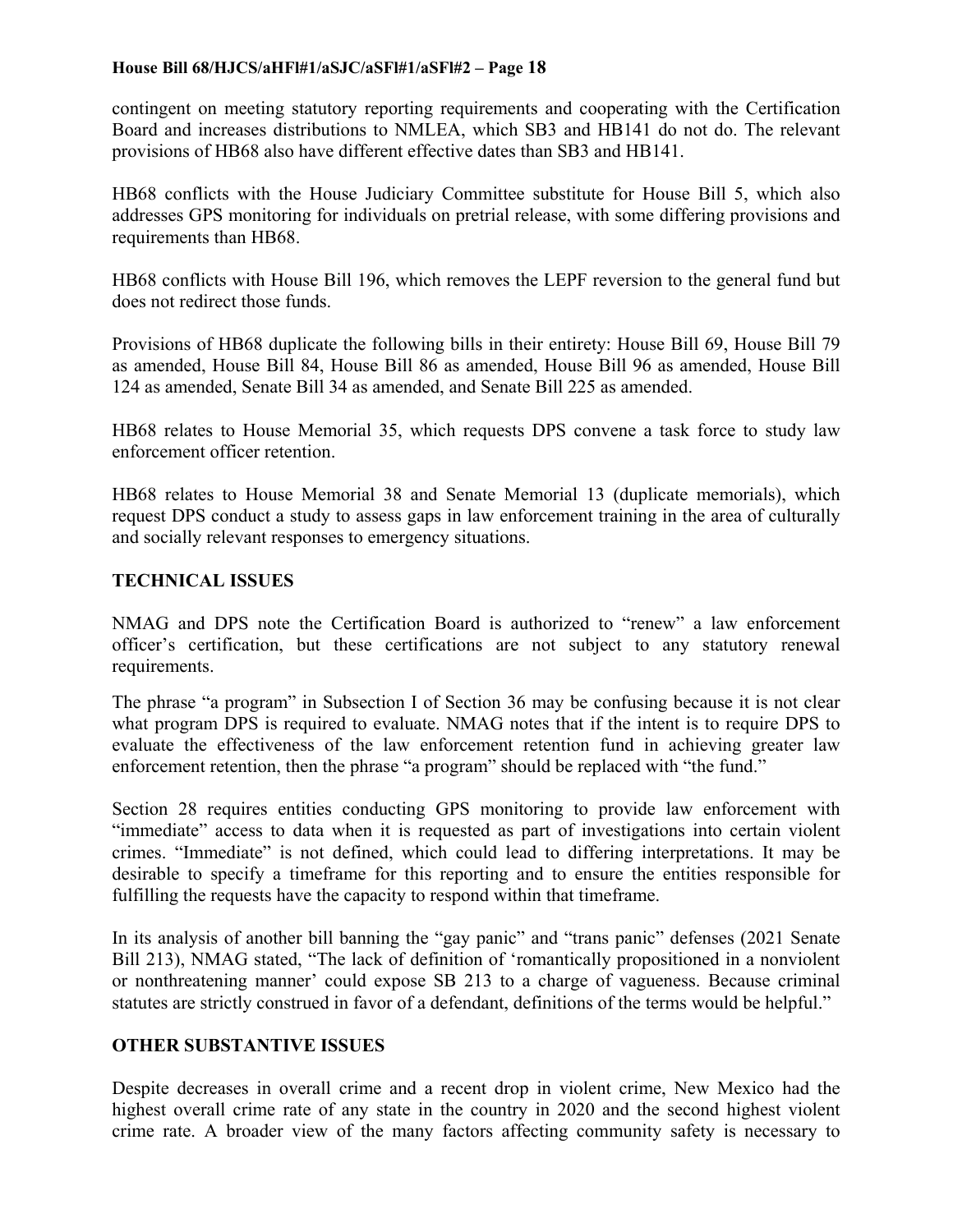contingent on meeting statutory reporting requirements and cooperating with the Certification Board and increases distributions to NMLEA, which SB3 and HB141 do not do. The relevant provisions of HB68 also have different effective dates than SB3 and HB141.

HB68 conflicts with the House Judiciary Committee substitute for House Bill 5, which also addresses GPS monitoring for individuals on pretrial release, with some differing provisions and requirements than HB68.

HB68 conflicts with House Bill 196, which removes the LEPF reversion to the general fund but does not redirect those funds.

Provisions of HB68 duplicate the following bills in their entirety: House Bill 69, House Bill 79 as amended, House Bill 84, House Bill 86 as amended, House Bill 96 as amended, House Bill 124 as amended, Senate Bill 34 as amended, and Senate Bill 225 as amended.

HB68 relates to House Memorial 35, which requests DPS convene a task force to study law enforcement officer retention.

HB68 relates to House Memorial 38 and Senate Memorial 13 (duplicate memorials), which request DPS conduct a study to assess gaps in law enforcement training in the area of culturally and socially relevant responses to emergency situations.

## **TECHNICAL ISSUES**

NMAG and DPS note the Certification Board is authorized to "renew" a law enforcement officer's certification, but these certifications are not subject to any statutory renewal requirements.

The phrase "a program" in Subsection I of Section 36 may be confusing because it is not clear what program DPS is required to evaluate. NMAG notes that if the intent is to require DPS to evaluate the effectiveness of the law enforcement retention fund in achieving greater law enforcement retention, then the phrase "a program" should be replaced with "the fund."

Section 28 requires entities conducting GPS monitoring to provide law enforcement with "immediate" access to data when it is requested as part of investigations into certain violent crimes. "Immediate" is not defined, which could lead to differing interpretations. It may be desirable to specify a timeframe for this reporting and to ensure the entities responsible for fulfilling the requests have the capacity to respond within that timeframe.

In its analysis of another bill banning the "gay panic" and "trans panic" defenses (2021 Senate Bill 213), NMAG stated, "The lack of definition of 'romantically propositioned in a nonviolent or nonthreatening manner' could expose SB 213 to a charge of vagueness. Because criminal statutes are strictly construed in favor of a defendant, definitions of the terms would be helpful."

## **OTHER SUBSTANTIVE ISSUES**

Despite decreases in overall crime and a recent drop in violent crime, New Mexico had the highest overall crime rate of any state in the country in 2020 and the second highest violent crime rate. A broader view of the many factors affecting community safety is necessary to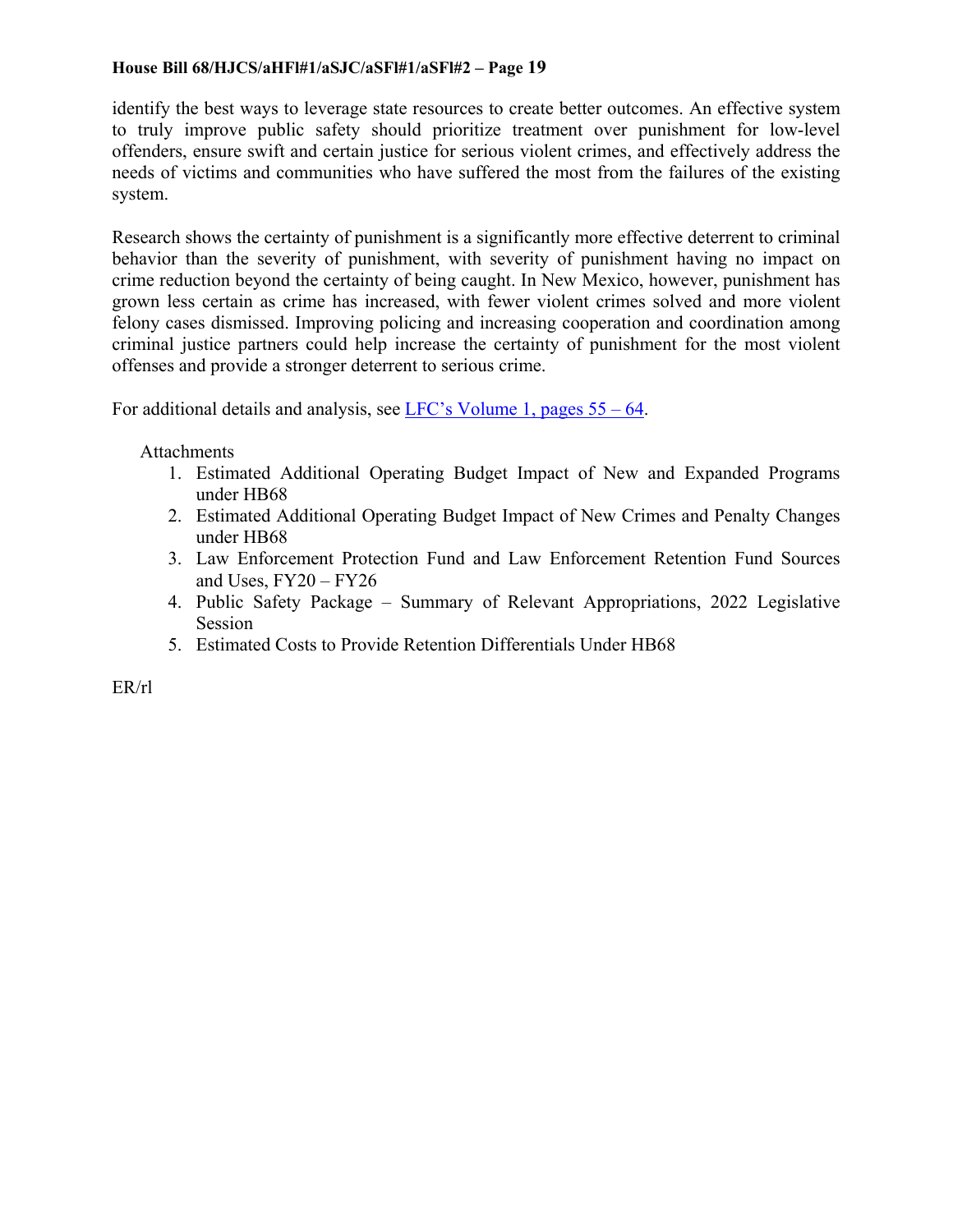identify the best ways to leverage state resources to create better outcomes. An effective system to truly improve public safety should prioritize treatment over punishment for low-level offenders, ensure swift and certain justice for serious violent crimes, and effectively address the needs of victims and communities who have suffered the most from the failures of the existing system.

Research shows the certainty of punishment is a significantly more effective deterrent to criminal behavior than the severity of punishment, with severity of punishment having no impact on crime reduction beyond the certainty of being caught. In New Mexico, however, punishment has grown less certain as crime has increased, with fewer violent crimes solved and more violent felony cases dismissed. Improving policing and increasing cooperation and coordination among criminal justice partners could help increase the certainty of punishment for the most violent offenses and provide a stronger deterrent to serious crime.

For additional details and analysis, see LFC's Volume 1, pages 55 – 64.

**Attachments** 

- 1. Estimated Additional Operating Budget Impact of New and Expanded Programs under HB68
- 2. Estimated Additional Operating Budget Impact of New Crimes and Penalty Changes under HB68
- 3. Law Enforcement Protection Fund and Law Enforcement Retention Fund Sources and Uses, FY20 – FY26
- 4. Public Safety Package Summary of Relevant Appropriations, 2022 Legislative Session
- 5. Estimated Costs to Provide Retention Differentials Under HB68

ER/rl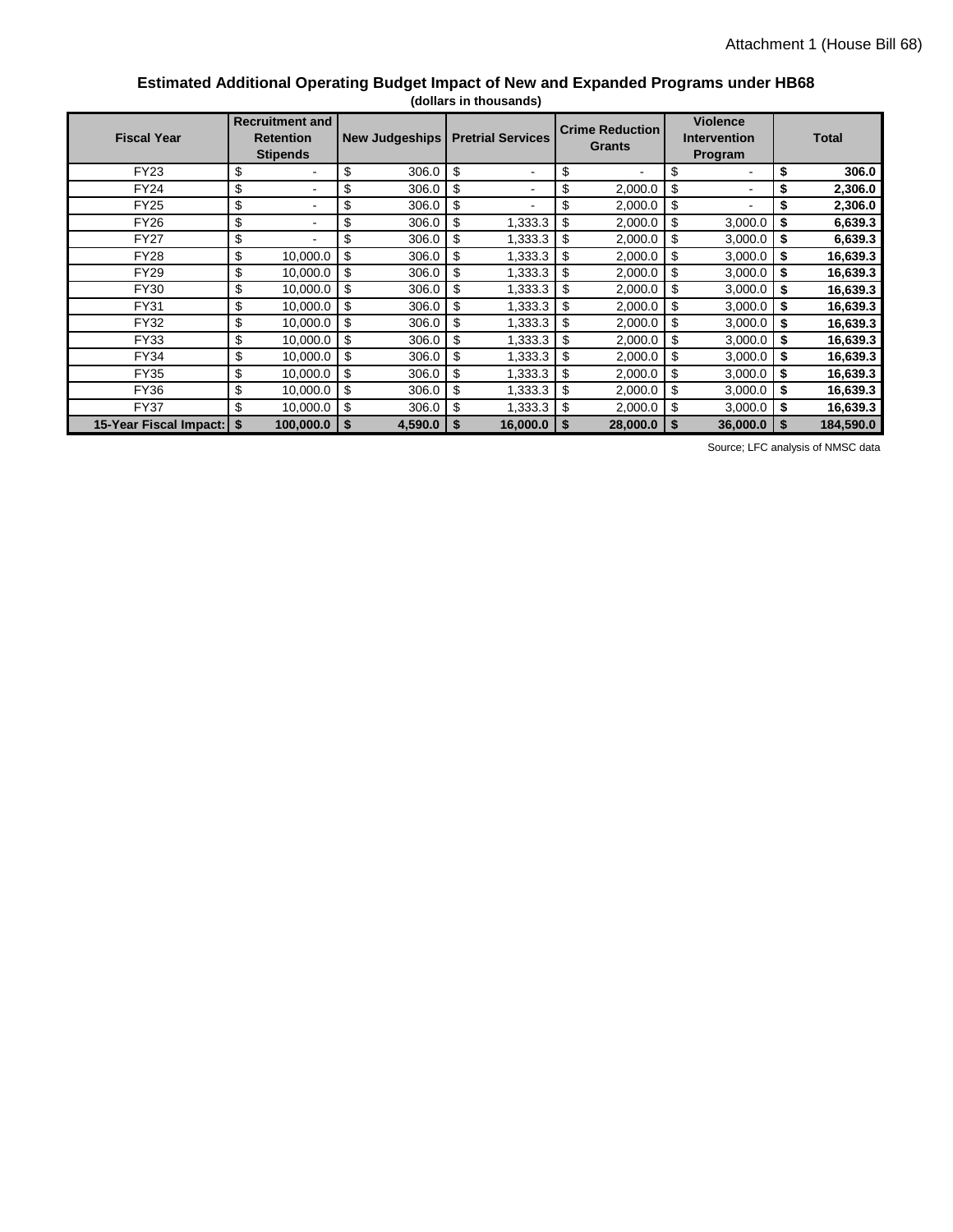#### **Estimated Additional Operating Budget Impact of New and Expanded Programs under HB68 (dollars in thousands)**

| <b>Fiscal Year</b>     | <b>Recruitment and</b><br><b>Retention</b><br><b>Stipends</b> | <b>New Judgeships</b> | <b>Pretrial Services</b>       | <b>Crime Reduction</b><br><b>Grants</b> |                          |     | <b>Violence</b><br><b>Intervention</b><br>Program |      | <b>Total</b> |
|------------------------|---------------------------------------------------------------|-----------------------|--------------------------------|-----------------------------------------|--------------------------|-----|---------------------------------------------------|------|--------------|
| <b>FY23</b>            | \$<br>$\blacksquare$                                          | \$<br>306.0           | \$<br>$\blacksquare$           | \$                                      | $\overline{\phantom{0}}$ | \$  |                                                   | \$   | 306.0        |
| <b>FY24</b>            | \$<br>$\overline{\phantom{a}}$                                | \$<br>306.0           | \$<br>$\overline{\phantom{a}}$ | \$                                      | 2,000.0                  | \$  | $\blacksquare$                                    | \$   | 2,306.0      |
| <b>FY25</b>            | \$<br>$\blacksquare$                                          | \$<br>306.0           | \$<br>$\overline{\phantom{a}}$ | \$                                      | 2,000.0                  | \$  | $\blacksquare$                                    | \$   | 2,306.0      |
| <b>FY26</b>            | \$<br>$\blacksquare$                                          | \$<br>306.0           | \$<br>1,333.3                  | \$                                      | 2,000.0                  | -\$ | 3,000.0                                           | -\$  | 6,639.3      |
| <b>FY27</b>            | \$<br>÷.                                                      | \$<br>306.0           | \$<br>1,333.3                  | \$                                      | 2,000.0                  | \$  | 3,000.0                                           | -\$  | 6,639.3      |
| <b>FY28</b>            | \$<br>10,000.0                                                | \$<br>306.0           | \$<br>1,333.3                  | \$                                      | 2,000.0                  | \$  | 3,000.0                                           | \$   | 16,639.3     |
| <b>FY29</b>            | \$<br>10,000.0                                                | \$<br>306.0           | \$<br>1,333.3                  | \$                                      | 2,000.0                  | \$  | 3,000.0                                           | \$   | 16,639.3     |
| <b>FY30</b>            | \$<br>10,000.0                                                | \$<br>306.0           | \$<br>1,333.3                  | \$                                      | 2,000.0                  | \$  | 3,000.0                                           | -\$  | 16,639.3     |
| <b>FY31</b>            | \$<br>10,000.0                                                | \$<br>306.0           | \$<br>1,333.3                  | \$                                      | 2,000.0                  | \$  | 3,000.0                                           | -\$  | 16,639.3     |
| <b>FY32</b>            | \$<br>10,000.0                                                | \$<br>306.0           | \$<br>1,333.3                  | \$                                      | 2,000.0                  | \$  | 3,000.0                                           | -\$  | 16,639.3     |
| FY33                   | \$<br>10,000.0                                                | \$<br>306.0           | \$<br>1,333.3                  | \$                                      | 2,000.0                  | \$  | 3,000.0                                           | \$   | 16,639.3     |
| <b>FY34</b>            | \$<br>10,000.0                                                | \$<br>306.0           | \$<br>1,333.3                  | \$                                      | 2,000.0                  | \$  | 3,000.0                                           | \$   | 16,639.3     |
| <b>FY35</b>            | \$<br>10,000.0                                                | \$<br>306.0           | \$<br>1,333.3                  | \$                                      | 2,000.0                  | \$  | 3,000.0                                           | ا \$ | 16,639.3     |
| <b>FY36</b>            | \$<br>10,000.0                                                | \$<br>306.0           | \$<br>1,333.3                  | \$                                      | 2,000.0                  | \$  | 3,000.0                                           | -\$  | 16,639.3     |
| <b>FY37</b>            | \$<br>10,000.0                                                | \$<br>306.0           | \$<br>1,333.3                  | \$                                      | 2,000.0                  | \$  | 3,000.0                                           | \$   | 16,639.3     |
| 15-Year Fiscal Impact: | \$<br>100,000.0                                               | \$<br>4,590.0         | 16,000.0                       |                                         | 28,000.0                 |     | 36,000.0                                          |      | 184.590.0    |

Source; LFC analysis of NMSC data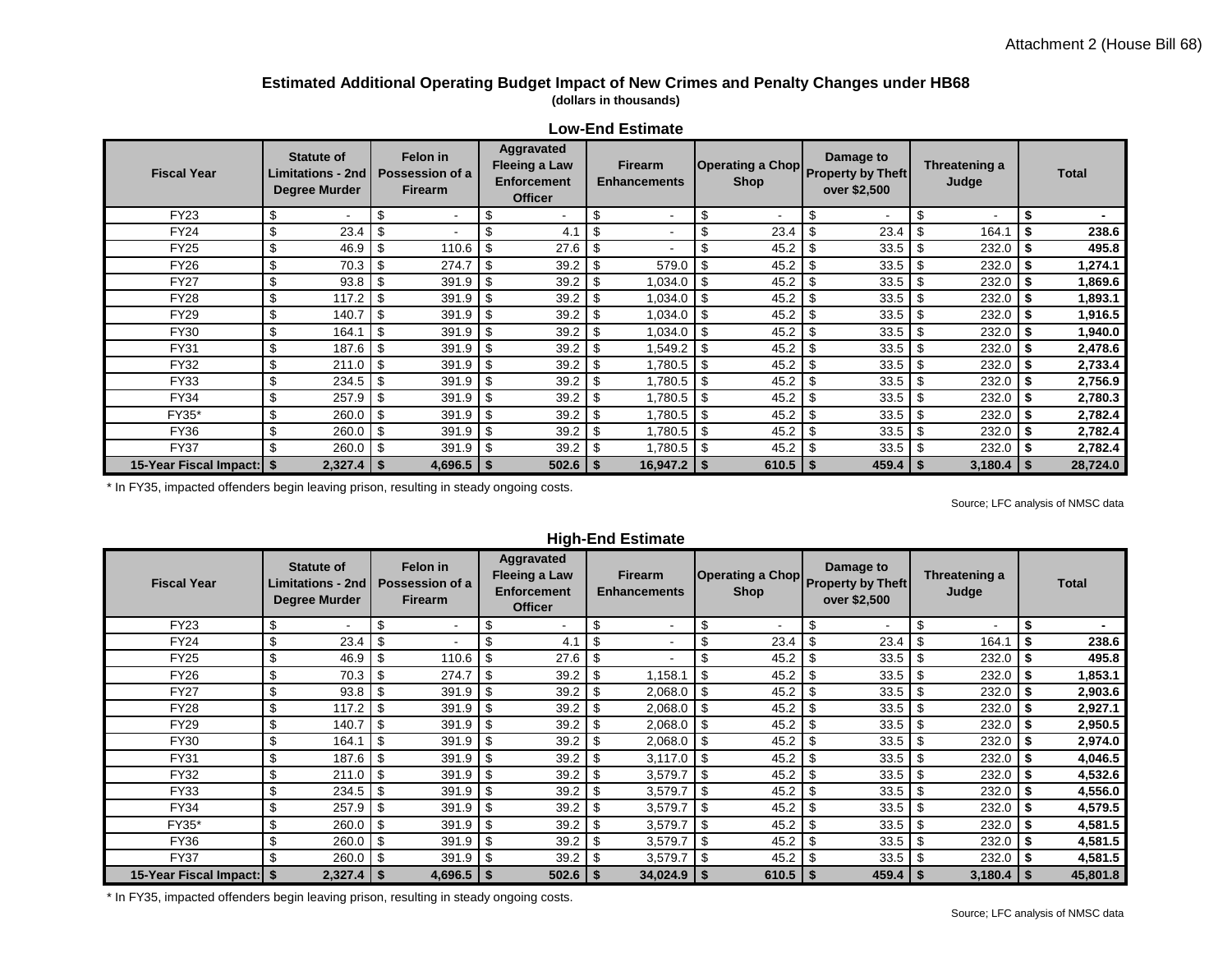#### **Estimated Additional Operating Budget Impact of New Crimes and Penalty Changes under HB68 (dollars in thousands)**

| בטזו בווט בטנווווטנט        |    |                                                                       |     |                                               |                                                                                                                                                                                |              |    |                          |      |              |      |              |      |                        |  |              |
|-----------------------------|----|-----------------------------------------------------------------------|-----|-----------------------------------------------|--------------------------------------------------------------------------------------------------------------------------------------------------------------------------------|--------------|----|--------------------------|------|--------------|------|--------------|------|------------------------|--|--------------|
| <b>Fiscal Year</b>          |    | <b>Statute of</b><br><b>Limitations - 2nd</b><br><b>Degree Murder</b> |     | Felon in<br>Possession of a<br><b>Firearm</b> | Aggravated<br>Damage to<br>Operating a Chop Property by Theft<br>Fleeing a Law<br><b>Firearm</b><br><b>Enforcement</b><br><b>Shop</b><br><b>Enhancements</b><br><b>Officer</b> |              |    |                          |      |              |      | over \$2,500 |      | Threatening a<br>Judge |  | <b>Total</b> |
| <b>FY23</b>                 | Ŝ  |                                                                       | \$  |                                               | \$                                                                                                                                                                             |              |    | $\overline{\phantom{a}}$ | £    | ۰            | \$   |              |      | $\sim$                 |  |              |
| <b>FY24</b>                 | \$ | 23.4                                                                  | \$  |                                               | \$                                                                                                                                                                             | 4.1          | \$ |                          | \$   | 23.4         | - \$ | 23.4         |      | 164.1                  |  | 238.6        |
| <b>FY25</b>                 | \$ | 46.9                                                                  | \$  | 110.6                                         | \$                                                                                                                                                                             | 27.6         | \$ |                          |      | 45.2         | -\$  | 33.5         | l \$ | 232.0                  |  | 495.8        |
| <b>FY26</b>                 | \$ | 70.3                                                                  | \$  | 274.7                                         | \$                                                                                                                                                                             | 39.2         |    | 579.0                    |      | 45.2         |      | 33.5         |      | 232.0                  |  | 1,274.1      |
| <b>FY27</b>                 | \$ | 93.8                                                                  | \$  | 391.9                                         | \$                                                                                                                                                                             | 39.2         |    | 1,034.0                  |      | 45.2         |      | 33.5         |      | 232.0                  |  | 1,869.6      |
| <b>FY28</b>                 | \$ | 117.2                                                                 | \$  | 391.9                                         | -\$                                                                                                                                                                            | 39.2         | \$ | 1,034.0                  | - \$ | 45.2         | -\$  | 33.5         | l \$ | $232.0$ \$             |  | 1,893.1      |
| <b>FY29</b>                 | \$ | 140.7                                                                 | \$  | 391.9                                         | -\$                                                                                                                                                                            | 39.2         |    | 1,034.0                  | - \$ | 45.2         | - \$ | 33.5         | l \$ | 232.0                  |  | 1,916.5      |
| FY30                        | \$ | 164.1                                                                 | \$  | 391.9                                         | -\$                                                                                                                                                                            | 39.2         | \$ | 1,034.0                  | \$   | 45.2         | \$   | 33.5         | \$   | 232.0                  |  | 1,940.0      |
| FY31                        | \$ | 187.6                                                                 | \$  | 391.9                                         | -\$                                                                                                                                                                            | 39.2         |    | 1,549.2                  |      | 45.2         | \$   | 33.5         | - \$ | $232.0$ \$             |  | 2,478.6      |
| <b>FY32</b>                 | \$ | 211.0                                                                 | \$  | 391.9                                         | -\$                                                                                                                                                                            | 39.2         |    | 1,780.5                  | - \$ | 45.2         | - \$ | 33.5         | - \$ | $232.0$ \$             |  | 2,733.4      |
| <b>FY33</b>                 | \$ | 234.5                                                                 | \$  | 391.9                                         | -\$                                                                                                                                                                            | 39.2         |    | 1,780.5                  | -\$  | 45.2         | - \$ | 33.5         | l \$ | 232.0                  |  | 2,756.9      |
| FY34                        | \$ | 257.9                                                                 | \$  | 391.9                                         | -\$                                                                                                                                                                            | 39.2         |    | 1,780.5                  | \$   | 45.2         | \$   | 33.5         | \$   | 232.0                  |  | 2,780.3      |
| FY35*                       | \$ | 260.0                                                                 | \$  | 391.9                                         | \$                                                                                                                                                                             | 39.2         |    | 1,780.5                  |      | 45.2         |      | 33.5         |      | 232.0                  |  | 2,782.4      |
| <b>FY36</b>                 | \$ | 260.0                                                                 | \$  | 391.9                                         | -\$                                                                                                                                                                            | 39.2         |    | 1,780.5                  | - \$ | 45.2         | -\$  | $33.5$ \$    |      | $232.0$ \$             |  | 2,782.4      |
| <b>FY37</b>                 | \$ | 260.0                                                                 | -\$ | 391.9                                         | \$                                                                                                                                                                             | 39.2         |    | 1,780.5                  | -\$  | 45.2         | -\$  | 33.5         |      | $232.0$   \$           |  | 2,782.4      |
| 15-Year Fiscal Impact:   \$ |    | $2,327.4$ \ \$                                                        |     | $4,696.5$ \$                                  |                                                                                                                                                                                | $502.6$   \$ |    | $16,947.2$ \$            |      | $610.5$   \$ |      | $459.4$   \$ |      | $3,180.4$ \ \$         |  | 28,724.0     |

**Low-End Estimate**

\* In FY35, impacted offenders begin leaving prison, resulting in steady ongoing costs.

Source; LFC analysis of NMSC data

| <b>Fiscal Year</b>          | <b>Statute of</b><br><b>Limitations - 2nd</b><br><b>Degree Murder</b> |      | Felon in<br>Possession of a<br><b>Firearm</b> |          | Aggravated<br><b>Fleeing a Law</b><br><b>Enforcement</b><br><b>Officer</b> | <b>Firearm</b><br><b>Enhancements</b> |      | <b>Shop</b>  |      | Damage to<br>Operating a Chop Property by Theft<br>over \$2,500 | Threatening a<br>Judge |         |      | <b>Total</b> |
|-----------------------------|-----------------------------------------------------------------------|------|-----------------------------------------------|----------|----------------------------------------------------------------------------|---------------------------------------|------|--------------|------|-----------------------------------------------------------------|------------------------|---------|------|--------------|
| <b>FY23</b>                 | \$                                                                    | \$   |                                               | \$       |                                                                            | \$<br>$\overline{\phantom{a}}$        | \$   | ۰.           | \$   | ۰                                                               | \$                     | ۰.      | \$   |              |
| <b>FY24</b>                 | \$<br>23.4                                                            | \$   |                                               | \$       | 4.1                                                                        | $\overline{\phantom{a}}$              |      | 23.4         |      | 23.4                                                            |                        | 164.1   |      | 238.6        |
| <b>FY25</b>                 | \$<br>46.9                                                            | -\$  | 110.6                                         | \$       | 27.6                                                                       | $\blacksquare$                        |      | 45.2         | -\$  |                                                                 |                        | 232.0   | Ŝ.   | 495.8        |
| <b>FY26</b>                 | \$<br>70.3                                                            | \$   | 274.7                                         | \$       | 39.2                                                                       | 1,158.1                               | \$   | 45.2         |      | 33.5                                                            | -\$                    | 232.0   | \$   | 853.1,       |
| <b>FY27</b>                 | \$<br>93.8                                                            | -\$  | 391.9                                         | \$       | 39.2                                                                       | 2,068.0                               | \$   | 45.2         | \$   | 33.5                                                            |                        | 232.0   | \$   | 2,903.6      |
| <b>FY28</b>                 | \$<br>117.2                                                           | -\$  | 391.9                                         | \$       | 39.2                                                                       | 2,068.0                               | \$   | 45.2         |      | 33.5                                                            |                        | 232.0   |      | 2,927.1      |
| <b>FY29</b>                 | \$<br>140.7                                                           | - \$ | 391.9                                         | \$       | 39.2                                                                       | 2,068.0                               | - \$ | 45.2         |      |                                                                 |                        | 232.0   | Ŝ.   | 2,950.5      |
| FY30                        | \$<br>164.1                                                           | -\$  | 391.9                                         | \$       | 39.2                                                                       | 2,068.0                               | -\$  | 45.2         |      |                                                                 |                        | 232.0   | \$   | 2,974.0      |
| <b>FY31</b>                 | \$<br>187.6                                                           | -\$  | 391.9                                         | \$       | 39.2                                                                       | 3,117.0                               | - \$ | 45.2         | - \$ |                                                                 |                        | 232.0   | -\$  | 4,046.5      |
| FY32                        | \$<br>211.0                                                           | -\$  | 391.9                                         | \$       | 39.2                                                                       | 3,579.7                               |      | 45.2         |      |                                                                 |                        | 232.0   | \$   | 4,532.6      |
| <b>FY33</b>                 | \$<br>234.5                                                           | -\$  | 391.9                                         | \$       | 39.2                                                                       | 3,579.7                               |      | 45.2         | -\$  |                                                                 |                        | 232.0   | -\$  | 4,556.0      |
| FY34                        | \$<br>257.9                                                           | -\$  | 391.9                                         | <b>S</b> | 39.2                                                                       | 3,579.7                               | -\$  | 45.2         | -\$  |                                                                 |                        | 232.0   | - \$ | 4,579.5      |
| FY35*                       | \$<br>260.0                                                           | -\$  | 391.9                                         | \$       | 39.2                                                                       | 3,579.7                               | -\$  | 45.2         | -\$  |                                                                 |                        | 232.0   |      | 4,581.5      |
| <b>FY36</b>                 | \$<br>260.0                                                           | -\$  | 391.9                                         | \$       | 39.2                                                                       | 3,579.7                               | \$   | 45.2         | - \$ | $33.5$ \$                                                       |                        | 232.0   | \$   | 4,581.5      |
| <b>FY37</b>                 | \$<br>260.0                                                           | -\$  | 391.9                                         | \$       | 39.2                                                                       | 3,579.7                               |      | 45.2         |      | $33.5$ \$                                                       |                        | 232.0   |      | 4,581.5      |
| 15-Year Fiscal Impact:   \$ | $2,327.4$   \$                                                        |      | $4,696.5$   \$                                |          | 502.6                                                                      | $34,024.9$ \ \$                       |      | $610.5$   \$ |      | $459.4$   \$                                                    |                        | 3,180.4 | - \$ | 45,801.8     |

**High-End Estimate**

\* In FY35, impacted offenders begin leaving prison, resulting in steady ongoing costs.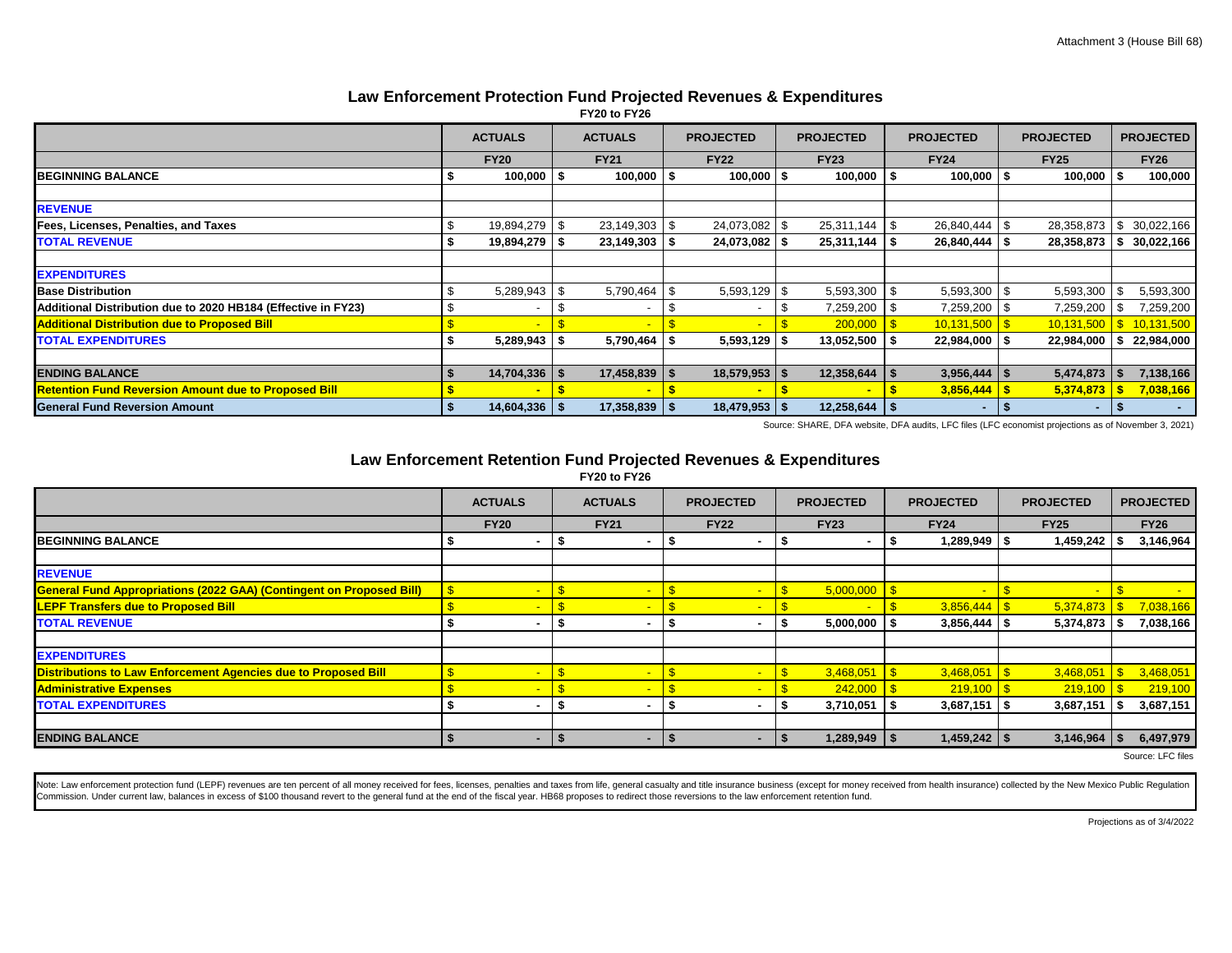#### **Law Enforcement Protection Fund Projected Revenues & Expenditures**

| FY20 to FY26 |  |  |
|--------------|--|--|
|--------------|--|--|

|                                                               | <b>ACTUALS</b> |                  |      | <b>ACTUALS</b>    | <b>PROJECTED</b>       | <b>PROJECTED</b>  | <b>PROJECTED</b> |                          | <b>PROJECTED</b> |                |          | <b>PROJECTED</b> |
|---------------------------------------------------------------|----------------|------------------|------|-------------------|------------------------|-------------------|------------------|--------------------------|------------------|----------------|----------|------------------|
|                                                               |                | <b>FY20</b>      |      | <b>FY21</b>       | <b>FY22</b>            | <b>FY23</b>       |                  | <b>FY24</b>              |                  | <b>FY25</b>    |          | <b>FY26</b>      |
| <b>BEGINNING BALANCE</b>                                      |                | 100,000          |      | 100,000           | $100,000$   \$         | $100,000$ \ \$    |                  | $100,000$ $\frac{1}{5}$  |                  | 100,000        |          | 100,000          |
| <b>REVENUE</b>                                                |                |                  |      |                   |                        |                   |                  |                          |                  |                |          |                  |
| Fees, Licenses, Penalties, and Taxes                          |                | 19,894,279       | - \$ | 23,149,303        | \$<br>24,073,082   \$  | 25,311,144        | l \$             | 26,840,444 \$            |                  | 28,358,873     | <b>S</b> | 30,022,166       |
| <b>TOTAL REVENUE</b>                                          |                | 19,894,279       |      | 23,149,303        | $24,073,082$   \$      | 25,311,144        | l \$             | $26,840,444$ \ \$        |                  | 28,358,873     |          | 30,022,166       |
|                                                               |                |                  |      |                   |                        |                   |                  |                          |                  |                |          |                  |
| <b>EXPENDITURES</b>                                           |                |                  |      |                   |                        |                   |                  |                          |                  |                |          |                  |
| <b>Base Distribution</b>                                      |                | 5,289,943        |      | 5,790,464         | \$<br>$5,593,129$ \ \$ | 5,593,300         | l \$             | $5,593,300$ \$           |                  | 5,593,300      |          | 5,593,300        |
| Additional Distribution due to 2020 HB184 (Effective in FY23) |                |                  |      |                   |                        | 7,259,200         |                  | 7,259,200   \$           |                  | 7,259,200      |          | 7,259,200        |
| <b>Additional Distribution due to Proposed Bill</b>           |                |                  |      |                   |                        | 200,000           |                  | $10,131,500$ $\sqrt{\$}$ |                  | 10,131,500     |          | 10,131,500       |
| <b>TOTAL EXPENDITURES</b>                                     |                | $5,289,943$ \ \$ |      | 5,790,464         | $5,593,129$ \\$        | $13,052,500$   \$ |                  | $22,984,000$   \$        |                  | 22,984,000     |          | 22,984,000       |
|                                                               |                |                  |      |                   |                        |                   |                  |                          |                  |                |          |                  |
| <b>ENDING BALANCE</b>                                         |                | 14,704,336       |      | 17,458,839        | $18,579,953$ \$        | 12,358,644        |                  | $3,956,444$ \ \$         |                  | 5,474,873      |          | 7,138,166        |
| <b>Retention Fund Reversion Amount due to Proposed Bill</b>   |                |                  |      |                   |                        |                   |                  | 3,856,444                |                  | 5,374,873      |          | 7,038,166        |
| <b>General Fund Reversion Amount</b>                          | - 56           | $14,604,336$ \$  |      | $17,358,839$ \ \$ | $18,479,953$ \$        | 12,258,644        | ∣ S              | ٠                        | ΙSΙ              | $\blacksquare$ |          |                  |

Source: SHARE, DFA website, DFA audits, LFC files (LFC economist projections as of November 3, 2021)

#### **Law Enforcement Retention Fund Projected Revenues & Expenditures**

**FY20 to FY26**

|                                                                             | <b>ACTUALS</b> | <b>ACTUALS</b>           |     | <b>PROJECTED</b>         |   | <b>PROJECTED</b> |             | <b>PROJECTED</b> | <b>PROJECTED</b> |             | <b>PROJECTED</b>            |  |
|-----------------------------------------------------------------------------|----------------|--------------------------|-----|--------------------------|---|------------------|-------------|------------------|------------------|-------------|-----------------------------|--|
|                                                                             | <b>FY20</b>    | <b>FY21</b>              |     | <b>FY22</b>              |   | <b>FY23</b>      |             | <b>FY24</b>      |                  | <b>FY25</b> | <b>FY26</b>                 |  |
| <b>IBEGINNING BALANCE</b>                                                   | $\blacksquare$ | $\overline{\phantom{a}}$ |     |                          |   |                  |             | 1,289,949        |                  | 1,459,242   | 3,146,964                   |  |
|                                                                             |                |                          |     |                          |   |                  |             |                  |                  |             |                             |  |
| <b>REVENUE</b>                                                              |                |                          |     |                          |   |                  |             |                  |                  |             |                             |  |
| <b>General Fund Appropriations (2022 GAA) (Contingent on Proposed Bill)</b> |                |                          |     |                          |   | 5,000,000        |             |                  |                  |             |                             |  |
| <b>LEPF Transfers due to Proposed Bill</b>                                  |                |                          |     |                          |   |                  |             |                  |                  | 5,374,873   | 7,038,166                   |  |
| <b>TOTAL REVENUE</b>                                                        | $\blacksquare$ |                          |     |                          |   | 5,000,000        |             | 3,856,444        | - 9              | 5,374,873   | 7,038,166                   |  |
|                                                                             |                |                          |     |                          |   |                  |             |                  |                  |             |                             |  |
| <b>EXPENDITURES</b>                                                         |                |                          |     |                          |   |                  |             |                  |                  |             |                             |  |
| Distributions to Law Enforcement Agencies due to Proposed Bill              |                |                          |     |                          |   | 3,468,051        | <u>  \$</u> | $3,468,051$ \$   |                  | 3,468,051   | 3,468,051                   |  |
| <b>Administrative Expenses</b>                                              |                |                          |     |                          |   | 242,000          |             | $219,100$ \ \$   |                  | 219,100     | 219,100                     |  |
| <b>TOTAL EXPENDITURES</b>                                                   | ۰              | $\overline{\phantom{a}}$ |     |                          |   | 3,710,051        |             | 3,687,151        |                  | 3,687,151   | 3,687,151                   |  |
|                                                                             |                |                          |     |                          |   |                  |             |                  |                  |             |                             |  |
| <b>ENDING BALANCE</b>                                                       | ۰              |                          | - 5 | $\overline{\phantom{a}}$ | 5 | $1,289,949$ \\$  |             | $1,459,242$ \ \$ |                  | 3,146,964   | 6,497,979                   |  |
|                                                                             |                |                          |     |                          |   |                  |             |                  |                  |             | $\sim$ $\sim$ $\sim$ $\sim$ |  |

Source: LFC files

Note: Law enforcement protection fund (LEPF) revenues are ten percent of all money received for fees, licenses, penalties and taxes from life, general casualty and title insurance business (except for money received from h Commission. Under current law, balances in excess of \$100 thousand revert to the general fund at the end of the fiscal year. HB68 proposes to redirect those reversions to the law enforcement retention fund.

Projections as of 3/4/2022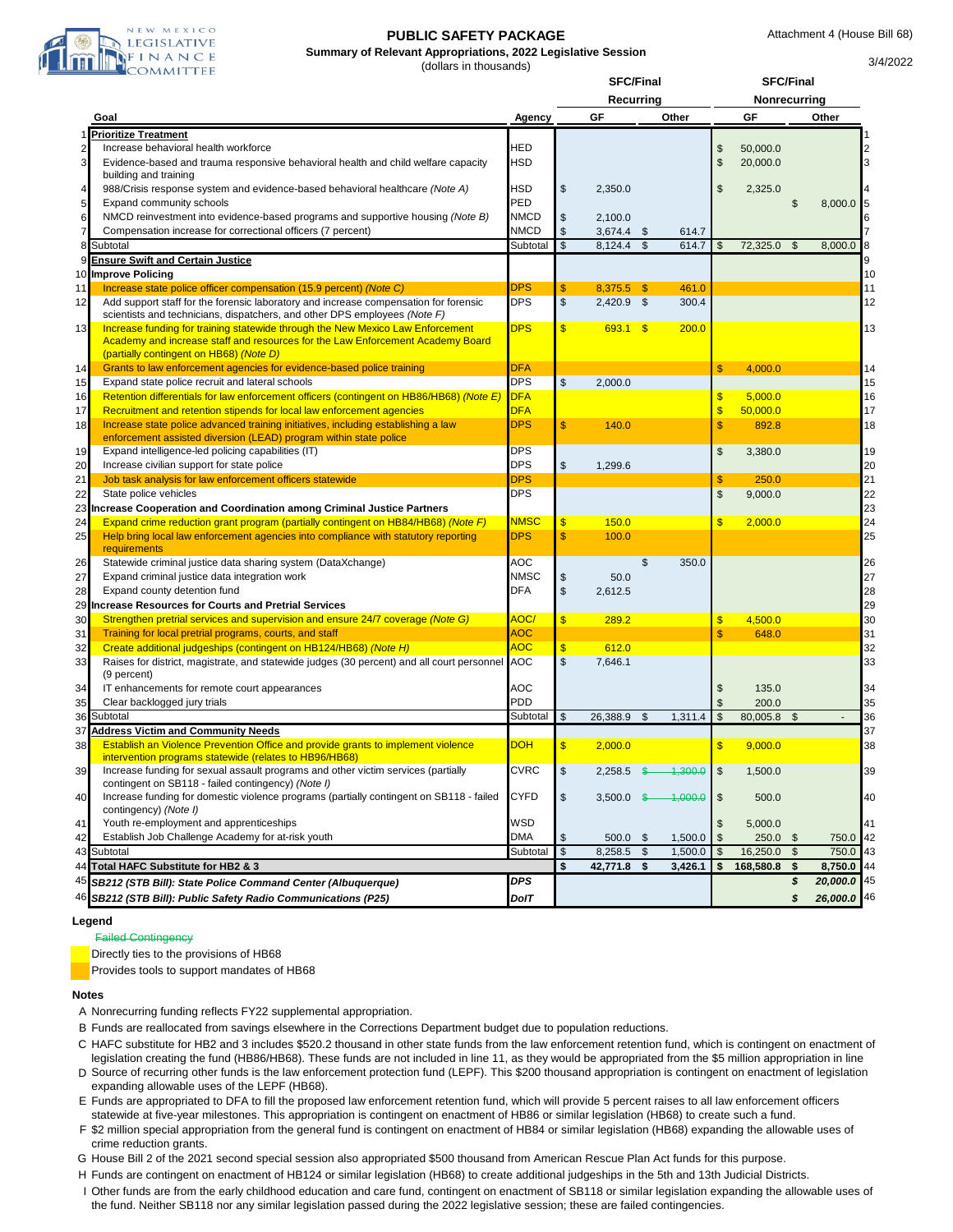

#### **PUBLIC SAFETY PACKAGE**

**Summary of Relevant Appropriations, 2022 Legislative Session** (dollars in thousands)

3/4/2022

|                |                                                                                                                  | SFC/Final   |                         |              |                         |         |                         |              |                | <b>SFC/Final</b> |  |  |
|----------------|------------------------------------------------------------------------------------------------------------------|-------------|-------------------------|--------------|-------------------------|---------|-------------------------|--------------|----------------|------------------|--|--|
|                |                                                                                                                  |             |                         | Recurring    |                         |         |                         | Nonrecurring |                |                  |  |  |
|                | Goal                                                                                                             | Agency      |                         | GF           |                         | Other   |                         | GF           |                | Other            |  |  |
|                | <b>Prioritize Treatment</b>                                                                                      |             |                         |              |                         |         |                         |              |                |                  |  |  |
| 2              | Increase behavioral health workforce                                                                             | HED         |                         |              |                         |         | \$                      | 50,000.0     |                |                  |  |  |
| 3              | Evidence-based and trauma responsive behavioral health and child welfare capacity                                | HSD         |                         |              |                         |         | \$                      | 20,000.0     |                |                  |  |  |
|                | building and training                                                                                            |             |                         |              |                         |         |                         |              |                |                  |  |  |
| 4              | 988/Crisis response system and evidence-based behavioral healthcare (Note A)                                     | <b>HSD</b>  | $\mathbb{S}$            | 2,350.0      |                         |         | \$                      | 2,325.0      |                |                  |  |  |
| 5              | Expand community schools                                                                                         | PED         |                         |              |                         |         |                         |              | $\mathfrak{S}$ | 8,000.0          |  |  |
| 6              | NMCD reinvestment into evidence-based programs and supportive housing (Note B)                                   | <b>NMCD</b> | \$                      | 2,100.0      |                         |         |                         |              |                |                  |  |  |
| $\overline{7}$ | Compensation increase for correctional officers (7 percent)                                                      | <b>NMCD</b> | \$                      | $3,674.4$ \$ |                         | 614.7   |                         |              |                |                  |  |  |
|                | Subtotal                                                                                                         | Subtotal    | $\mathsf{\$}$           | 8,124.4      | $\mathsf{\$}$           | 614.7   | \$                      | 72,325.0     | \$             | 8,000.0          |  |  |
| 9              | <b>Ensure Swift and Certain Justice</b>                                                                          |             |                         |              |                         |         |                         |              |                |                  |  |  |
|                | 10 Improve Policing                                                                                              |             |                         |              |                         |         |                         |              |                |                  |  |  |
| 11             | Increase state police officer compensation (15.9 percent) (Note C)                                               | <b>DPS</b>  | \$                      | 8,375.5      | $\sqrt{3}$              | 461.0   |                         |              |                |                  |  |  |
| 12             | Add support staff for the forensic laboratory and increase compensation for forensic                             | <b>DPS</b>  | $\mathbb{S}$            | 2,420.9 \$   |                         | 300.4   |                         |              |                |                  |  |  |
|                | scientists and technicians, dispatchers, and other DPS employees (Note F)                                        |             |                         |              |                         |         |                         |              |                |                  |  |  |
| 13             | Increase funding for training statewide through the New Mexico Law Enforcement                                   | <b>DPS</b>  | $\sqrt{3}$              | $693.1$ \$   |                         | 200.0   |                         |              |                |                  |  |  |
|                | Academy and increase staff and resources for the Law Enforcement Academy Board                                   |             |                         |              |                         |         |                         |              |                |                  |  |  |
|                | (partially contingent on HB68) (Note D)                                                                          |             |                         |              |                         |         |                         |              |                |                  |  |  |
| 14             | Grants to law enforcement agencies for evidence-based police training                                            | <b>DFA</b>  |                         |              |                         |         | \$                      | 4,000.0      |                |                  |  |  |
| 15             | Expand state police recruit and lateral schools                                                                  | <b>DPS</b>  | $\mathbb{S}$            | 2,000.0      |                         |         |                         |              |                |                  |  |  |
| 16             | Retention differentials for law enforcement officers (contingent on HB86/HB68) (Note E)                          | <b>DFA</b>  |                         |              |                         |         | \$                      | 5,000.0      |                |                  |  |  |
| 17             | Recruitment and retention stipends for local law enforcement agencies                                            | <b>DFA</b>  |                         |              |                         |         | $\overline{\mathbf{S}}$ | 50,000.0     |                |                  |  |  |
| 18             | Increase state police advanced training initiatives, including establishing a law                                | <b>DPS</b>  | $\mathsf{\$}$           | 140.0        |                         |         | $\mathsf{\$}$           | 892.8        |                |                  |  |  |
|                | enforcement assisted diversion (LEAD) program within state police                                                |             |                         |              |                         |         |                         |              |                |                  |  |  |
| 19             | Expand intelligence-led policing capabilities (IT)                                                               | <b>DPS</b>  |                         |              |                         |         | \$                      | 3,380.0      |                |                  |  |  |
| 20             | Increase civilian support for state police                                                                       | <b>DPS</b>  | \$                      | 1,299.6      |                         |         |                         |              |                |                  |  |  |
| 21             | Job task analysis for law enforcement officers statewide                                                         | <b>DPS</b>  |                         |              |                         |         | \$                      | 250.0        |                |                  |  |  |
| 22             | State police vehicles                                                                                            | <b>DPS</b>  |                         |              |                         |         | $\mathsf{\$}$           | 9,000.0      |                |                  |  |  |
|                | 23 Increase Cooperation and Coordination among Criminal Justice Partners                                         |             |                         |              |                         |         |                         |              |                |                  |  |  |
| 24             | Expand crime reduction grant program (partially contingent on HB84/HB68) (Note F)                                | <b>NMSC</b> | $\sqrt[6]{\frac{1}{2}}$ | 150.0        |                         |         | $\mathsf{\$}$           | 2,000.0      |                |                  |  |  |
|                |                                                                                                                  | <b>DPS</b>  |                         |              |                         |         |                         |              |                |                  |  |  |
| 25             | Help bring local law enforcement agencies into compliance with statutory reporting<br>requirements               |             | $\mathsf{\$}$           | 100.0        |                         |         |                         |              |                |                  |  |  |
| 26             | Statewide criminal justice data sharing system (DataXchange)                                                     | AOC         |                         |              | \$                      | 350.0   |                         |              |                |                  |  |  |
| 27             | Expand criminal justice data integration work                                                                    | <b>NMSC</b> | \$                      | 50.0         |                         |         |                         |              |                |                  |  |  |
|                |                                                                                                                  |             |                         |              |                         |         |                         |              |                |                  |  |  |
| 28             | Expand county detention fund                                                                                     | <b>DFA</b>  | $\mathbb{S}$            | 2,612.5      |                         |         |                         |              |                |                  |  |  |
| 29             | <b>Increase Resources for Courts and Pretrial Services</b>                                                       |             |                         |              |                         |         |                         |              |                |                  |  |  |
| 30             | Strengthen pretrial services and supervision and ensure 24/7 coverage (Note G)                                   | AOC/        | $\mathsf{\$}$           | 289.2        |                         |         | \$                      | 4,500.0      |                |                  |  |  |
| 31             | Training for local pretrial programs, courts, and staff                                                          | <b>AOC</b>  |                         |              |                         |         | $\mathsf{\$}$           | 648.0        |                |                  |  |  |
| 32             | Create additional judgeships (contingent on HB124/HB68) (Note H)                                                 | <b>AOC</b>  | $\frac{1}{2}$           | 612.0        |                         |         |                         |              |                |                  |  |  |
| 33             | Raises for district, magistrate, and statewide judges (30 percent) and all court personnel                       | <b>AOC</b>  | $\mathbb{S}$            | 7,646.1      |                         |         |                         |              |                |                  |  |  |
|                | (9 percent)                                                                                                      |             |                         |              |                         |         |                         |              |                |                  |  |  |
| 34             | IT enhancements for remote court appearances                                                                     | AOC         |                         |              |                         |         | \$                      | 135.0        |                |                  |  |  |
| 35             | Clear backlogged jury trials                                                                                     | PDD         |                         |              |                         |         | \$                      | 200.0        |                |                  |  |  |
| 36             | Subtotal                                                                                                         | Subtotal    | $\mathsf{\$}$           | 26,388.9     | $\mathfrak{s}$          | 1,311.4 | $\mathfrak{s}$          | 80,005.8     | \$             |                  |  |  |
| 37             | <b>Address Victim and Community Needs</b>                                                                        |             |                         |              |                         |         |                         |              |                |                  |  |  |
| 38             | Establish an Violence Prevention Office and provide grants to implement violence                                 | <b>DOH</b>  | \$                      | 2,000.0      |                         |         | \$                      | 9,000.0      |                |                  |  |  |
|                | intervention programs statewide (relates to HB96/HB68)                                                           |             |                         |              |                         |         |                         |              |                |                  |  |  |
| 39             | Increase funding for sexual assault programs and other victim services (partially                                | <b>CVRC</b> | \$                      | 2,258.5      |                         | 4,300.0 | $\mathfrak{s}$          | 1,500.0      |                |                  |  |  |
|                | contingent on SB118 - failed contingency) (Note I)                                                               | <b>CYFD</b> |                         |              |                         |         |                         |              |                |                  |  |  |
| 40             | Increase funding for domestic violence programs (partially contingent on SB118 - failed<br>contingency) (Note I) |             | \$                      | 3,500.0      | -S                      | 1,000.0 | \$                      | 500.0        |                |                  |  |  |
| 41             | Youth re-employment and apprenticeships                                                                          | WSD         |                         |              |                         |         | \$                      | 5,000.0      |                |                  |  |  |
|                | Establish Job Challenge Academy for at-risk youth                                                                | <b>DMA</b>  |                         |              |                         |         |                         |              |                |                  |  |  |
| 42             |                                                                                                                  |             | \$                      | $500.0$ \$   |                         | 1,500.0 | $\mathfrak{s}$          | $250.0$ \$   |                | 750.0            |  |  |
| 43             | Subtotal                                                                                                         | Subtotal    | \$                      | 8,258.5      | $\sqrt[6]{\frac{1}{2}}$ | 1,500.0 | $\sqrt[6]{\frac{1}{2}}$ | 16,250.0     | $\mathfrak{S}$ | 750.0            |  |  |
| 44             | Total HAFC Substitute for HB2 & 3                                                                                |             | \$                      | 42,771.8 \$  |                         | 3,426.1 | \$                      | 168,580.8    | \$             | 8,750.0          |  |  |
| 45             | SB212 (STB Bill): State Police Command Center (Albuquerque)                                                      | <b>DPS</b>  |                         |              |                         |         |                         |              | \$             | 20,000.0 45      |  |  |
|                | 46 SB212 (STB Bill): Public Safety Radio Communications (P25)                                                    | DolT        |                         |              |                         |         |                         |              | \$             | 26,000.0 46      |  |  |

#### **Legend**

#### Failed Contingency

Directly ties to the provisions of HB68

Provides tools to support mandates of HB68

#### **Notes**

- A Nonrecurring funding reflects FY22 supplemental appropriation.
- B Funds are reallocated from savings elsewhere in the Corrections Department budget due to population reductions.
- C HAFC substitute for HB2 and 3 includes \$520.2 thousand in other state funds from the law enforcement retention fund, which is contingent on enactment of legislation creating the fund (HB86/HB68). These funds are not included in line 11, as they would be appropriated from the \$5 million appropriation in line
- D Source of recurring other funds is the law enforcement protection fund (LEPF). This \$200 thousand appropriation is contingent on enactment of legislation expanding allowable uses of the LEPF (HB68).
- E Funds are appropriated to DFA to fill the proposed law enforcement retention fund, which will provide 5 percent raises to all law enforcement officers statewide at five-year milestones. This appropriation is contingent on enactment of HB86 or similar legislation (HB68) to create such a fund.
- F \$2 million special appropriation from the general fund is contingent on enactment of HB84 or similar legislation (HB68) expanding the allowable uses of crime reduction grants.
- G House Bill 2 of the 2021 second special session also appropriated \$500 thousand from American Rescue Plan Act funds for this purpose.
- H Funds are contingent on enactment of HB124 or similar legislation (HB68) to create additional judgeships in the 5th and 13th Judicial Districts.
- I Other funds are from the early childhood education and care fund, contingent on enactment of SB118 or similar legislation expanding the allowable uses of the fund. Neither SB118 nor any similar legislation passed during the 2022 legislative session; these are failed contingencies.